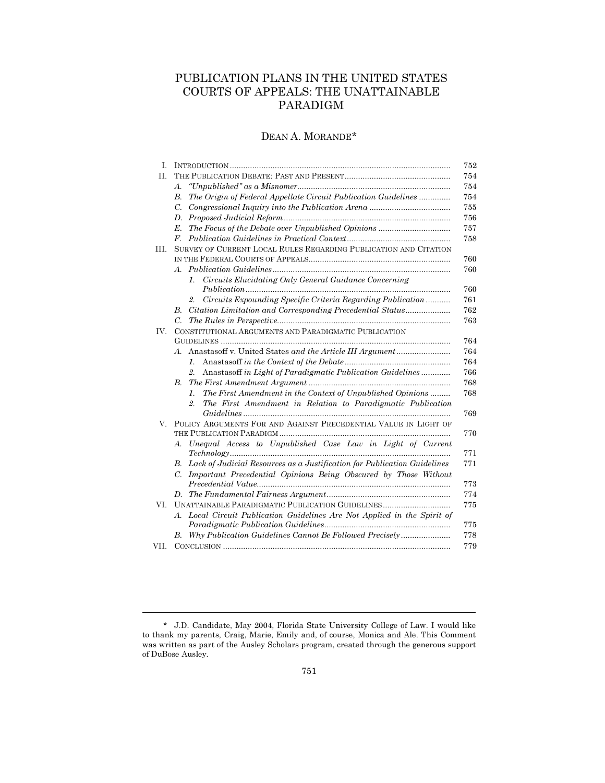# PUBLICATION PLANS IN THE UNITED STATES COURTS OF APPEALS: THE UNATTAINABLE PARADIGM

# DEAN A. MORANDE\*

| T.   |                                                                                |
|------|--------------------------------------------------------------------------------|
| II.  |                                                                                |
|      | А.                                                                             |
|      | The Origin of Federal Appellate Circuit Publication Guidelines<br>B.           |
|      | C.                                                                             |
|      | D.                                                                             |
|      | E.                                                                             |
|      |                                                                                |
| III. | SURVEY OF CURRENT LOCAL RULES REGARDING PUBLICATION AND CITATION               |
|      |                                                                                |
|      |                                                                                |
|      | 1. Circuits Elucidating Only General Guidance Concerning                       |
|      | Circuits Expounding Specific Criteria Regarding Publication<br>2.              |
|      | В.                                                                             |
|      | C.                                                                             |
| IV.  | CONSTITUTIONAL ARGUMENTS AND PARADIGMATIC PUBLICATION                          |
|      |                                                                                |
|      | Anastasoff v. United States and the Article III Argument<br>$\bm{A}$           |
|      | $\mathcal{I}$ .                                                                |
|      | Anastasoff in Light of Paradigmatic Publication Guidelines<br>2.               |
|      | В.                                                                             |
|      | The First Amendment in the Context of Unpublished Opinions<br>$\mathcal{I}$    |
|      | The First Amendment in Relation to Paradigmatic Publication<br>$\overline{2}$  |
|      |                                                                                |
| V.   | POLICY ARGUMENTS FOR AND AGAINST PRECEDENTIAL VALUE IN LIGHT OF                |
|      | Unequal Access to Unpublished Case Law in Light of Current<br>А.               |
|      |                                                                                |
|      | Lack of Judicial Resources as a Justification for Publication Guidelines<br>В. |
|      | Important Precedential Opinions Being Obscured by Those Without<br>C.          |
|      |                                                                                |
|      |                                                                                |
| VI.  | UNATTAINABLE PARADIGMATIC PUBLICATION GUIDELINES                               |
|      | Local Circuit Publication Guidelines Are Not Applied in the Spirit of          |
|      |                                                                                |
|      | B. Why Publication Guidelines Cannot Be Followed Precisely                     |
| VII. |                                                                                |

 <sup>\*</sup> J.D. Candidate, May 2004, Florida State University College of Law. I would like to thank my parents, Craig, Marie, Emily and, of course, Monica and Ale. This Comment was written as part of the Ausley Scholars program, created through the generous support of DuBose Ausley.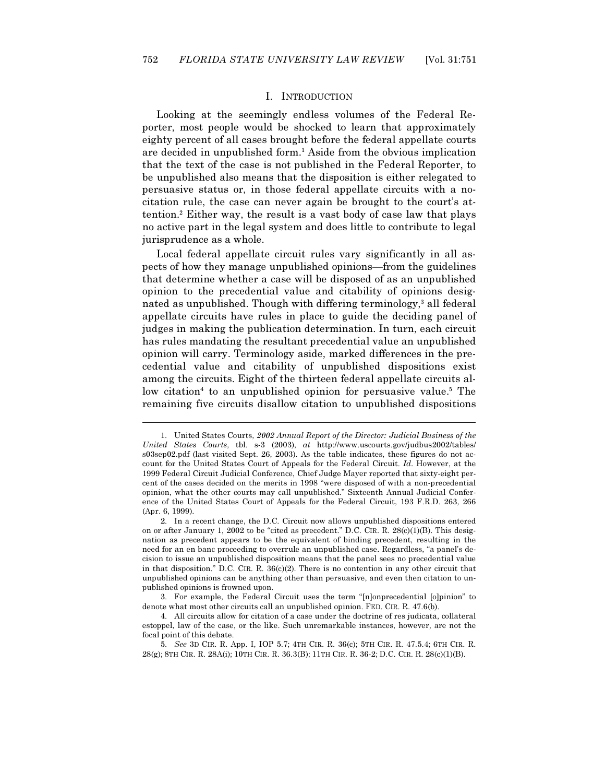### I. INTRODUCTION

 Looking at the seemingly endless volumes of the Federal Reporter, most people would be shocked to learn that approximately eighty percent of all cases brought before the federal appellate courts are decided in unpublished form.<sup>1</sup> Aside from the obvious implication that the text of the case is not published in the Federal Reporter, to be unpublished also means that the disposition is either relegated to persuasive status or, in those federal appellate circuits with a nocitation rule, the case can never again be brought to the court's attention.<sup>2</sup> Either way, the result is a vast body of case law that plays no active part in the legal system and does little to contribute to legal jurisprudence as a whole.

 Local federal appellate circuit rules vary significantly in all aspects of how they manage unpublished opinions—from the guidelines that determine whether a case will be disposed of as an unpublished opinion to the precedential value and citability of opinions designated as unpublished. Though with differing terminology,<sup>3</sup> all federal appellate circuits have rules in place to guide the deciding panel of judges in making the publication determination. In turn, each circuit has rules mandating the resultant precedential value an unpublished opinion will carry. Terminology aside, marked differences in the precedential value and citability of unpublished dispositions exist among the circuits. Eight of the thirteen federal appellate circuits allow citation<sup>4</sup> to an unpublished opinion for persuasive value.<sup>5</sup> The remaining five circuits disallow citation to unpublished dispositions

l

 <sup>1.</sup> United States Courts, 2002 Annual Report of the Director: Judicial Business of the United States Courts, tbl. s-3 (2003), at http://www.uscourts.gov/judbus2002/tables/ s03sep02.pdf (last visited Sept. 26, 2003). As the table indicates, these figures do not account for the United States Court of Appeals for the Federal Circuit. Id. However, at the 1999 Federal Circuit Judicial Conference, Chief Judge Mayer reported that sixty-eight percent of the cases decided on the merits in 1998 "were disposed of with a non-precedential opinion, what the other courts may call unpublished." Sixteenth Annual Judicial Conference of the United States Court of Appeals for the Federal Circuit, 193 F.R.D. 263, 266 (Apr. 6, 1999).

 <sup>2.</sup> In a recent change, the D.C. Circuit now allows unpublished dispositions entered on or after January 1, 2002 to be "cited as precedent." D.C. CIR. R. 28(c)(1)(B). This designation as precedent appears to be the equivalent of binding precedent, resulting in the need for an en banc proceeding to overrule an unpublished case. Regardless, "a panel's decision to issue an unpublished disposition means that the panel sees no precedential value in that disposition." D.C. CIR. R.  $36(c)(2)$ . There is no contention in any other circuit that unpublished opinions can be anything other than persuasive, and even then citation to unpublished opinions is frowned upon.

 <sup>3.</sup> For example, the Federal Circuit uses the term "[n]onprecedential [o]pinion" to denote what most other circuits call an unpublished opinion. FED. CIR. R. 47.6(b).

 <sup>4.</sup> All circuits allow for citation of a case under the doctrine of res judicata, collateral estoppel, law of the case, or the like. Such unremarkable instances, however, are not the focal point of this debate.

 <sup>5.</sup> See 3D CIR. R. App. I, IOP 5.7; 4TH CIR. R. 36(c); 5TH CIR. R. 47.5.4; 6TH CIR. R. 28(g); 8TH CIR. R. 28A(i); 10TH CIR. R. 36.3(B); 11TH CIR. R. 36-2; D.C. CIR. R. 28(c)(1)(B).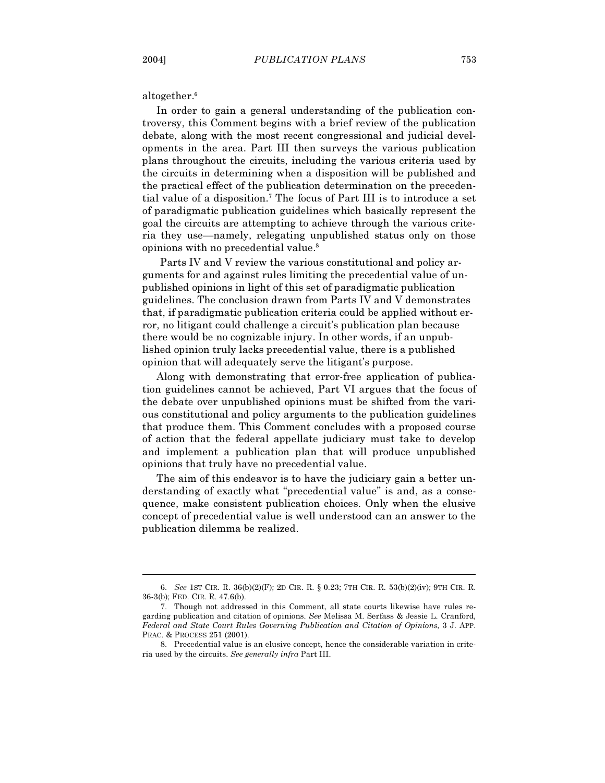$\overline{a}$ 

altogether.<sup>6</sup>

 In order to gain a general understanding of the publication controversy, this Comment begins with a brief review of the publication debate, along with the most recent congressional and judicial developments in the area. Part III then surveys the various publication plans throughout the circuits, including the various criteria used by the circuits in determining when a disposition will be published and the practical effect of the publication determination on the precedential value of a disposition.<sup>7</sup> The focus of Part III is to introduce a set of paradigmatic publication guidelines which basically represent the goal the circuits are attempting to achieve through the various criteria they use—namely, relegating unpublished status only on those opinions with no precedential value.<sup>8</sup>

 Parts IV and V review the various constitutional and policy arguments for and against rules limiting the precedential value of unpublished opinions in light of this set of paradigmatic publication guidelines. The conclusion drawn from Parts IV and V demonstrates that, if paradigmatic publication criteria could be applied without error, no litigant could challenge a circuit's publication plan because there would be no cognizable injury. In other words, if an unpublished opinion truly lacks precedential value, there is a published opinion that will adequately serve the litigant's purpose.

 Along with demonstrating that error-free application of publication guidelines cannot be achieved, Part VI argues that the focus of the debate over unpublished opinions must be shifted from the various constitutional and policy arguments to the publication guidelines that produce them. This Comment concludes with a proposed course of action that the federal appellate judiciary must take to develop and implement a publication plan that will produce unpublished opinions that truly have no precedential value.

 The aim of this endeavor is to have the judiciary gain a better understanding of exactly what "precedential value" is and, as a consequence, make consistent publication choices. Only when the elusive concept of precedential value is well understood can an answer to the publication dilemma be realized.

 <sup>6.</sup> See 1ST CIR. R. 36(b)(2)(F); 2D CIR. R. § 0.23; 7TH CIR. R. 53(b)(2)(iv); 9TH CIR. R. 36-3(b); FED. CIR. R. 47.6(b).

 <sup>7.</sup> Though not addressed in this Comment, all state courts likewise have rules regarding publication and citation of opinions. See Melissa M. Serfass & Jessie L. Cranford, Federal and State Court Rules Governing Publication and Citation of Opinions, 3 J. APP. PRAC. & PROCESS 251 (2001).

 <sup>8.</sup> Precedential value is an elusive concept, hence the considerable variation in criteria used by the circuits. See generally infra Part III.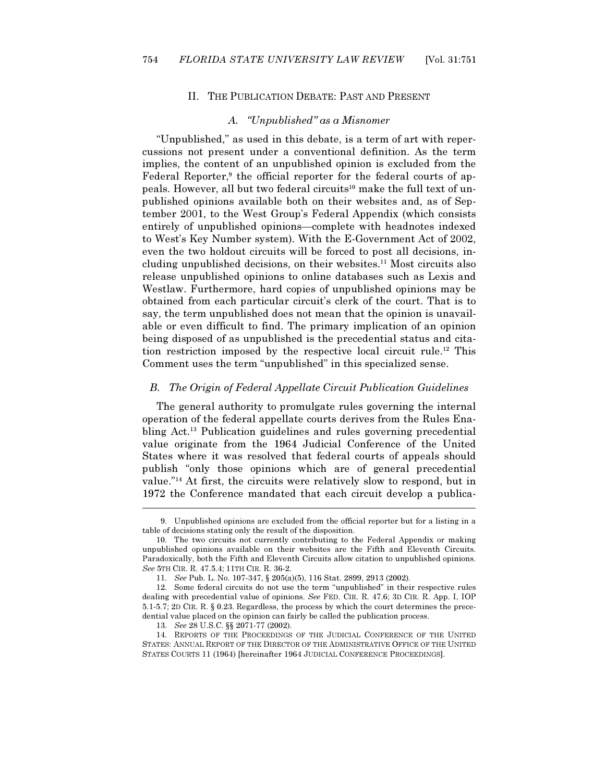#### II. THE PUBLICATION DEBATE: PAST AND PRESENT

# A. "Unpublished" as a Misnomer

"Unpublished," as used in this debate, is a term of art with repercussions not present under a conventional definition. As the term implies, the content of an unpublished opinion is excluded from the Federal Reporter,<sup>9</sup> the official reporter for the federal courts of appeals. However, all but two federal circuits<sup>10</sup> make the full text of unpublished opinions available both on their websites and, as of September 2001, to the West Group's Federal Appendix (which consists entirely of unpublished opinions—complete with headnotes indexed to West's Key Number system). With the E-Government Act of 2002, even the two holdout circuits will be forced to post all decisions, including unpublished decisions, on their websites.<sup>11</sup> Most circuits also release unpublished opinions to online databases such as Lexis and Westlaw. Furthermore, hard copies of unpublished opinions may be obtained from each particular circuit's clerk of the court. That is to say, the term unpublished does not mean that the opinion is unavailable or even difficult to find. The primary implication of an opinion being disposed of as unpublished is the precedential status and citation restriction imposed by the respective local circuit rule.<sup>12</sup> This Comment uses the term "unpublished" in this specialized sense.

### B. The Origin of Federal Appellate Circuit Publication Guidelines

 The general authority to promulgate rules governing the internal operation of the federal appellate courts derives from the Rules Enabling Act.<sup>13</sup> Publication guidelines and rules governing precedential value originate from the 1964 Judicial Conference of the United States where it was resolved that federal courts of appeals should publish "only those opinions which are of general precedential value."<sup>14</sup> At first, the circuits were relatively slow to respond, but in 1972 the Conference mandated that each circuit develop a publica-

 <sup>9.</sup> Unpublished opinions are excluded from the official reporter but for a listing in a table of decisions stating only the result of the disposition.

 <sup>10.</sup> The two circuits not currently contributing to the Federal Appendix or making unpublished opinions available on their websites are the Fifth and Eleventh Circuits. Paradoxically, both the Fifth and Eleventh Circuits allow citation to unpublished opinions. See 5TH CIR. R. 47.5.4; 11TH CIR. R. 36-2.

 <sup>11.</sup> See Pub. L. No. 107-347, § 205(a)(5), 116 Stat. 2899, 2913 (2002).

 <sup>12.</sup> Some federal circuits do not use the term "unpublished" in their respective rules dealing with precedential value of opinions. See FED. CIR. R. 47.6; 3D CIR. R. App. I, IOP 5.1-5.7; 2D CIR. R. § 0.23. Regardless, the process by which the court determines the precedential value placed on the opinion can fairly be called the publication process.

 <sup>13.</sup> See 28 U.S.C. §§ 2071-77 (2002).

 <sup>14.</sup> REPORTS OF THE PROCEEDINGS OF THE JUDICIAL CONFERENCE OF THE UNITED STATES: ANNUAL REPORT OF THE DIRECTOR OF THE ADMINISTRATIVE OFFICE OF THE UNITED STATES COURTS 11 (1964) [hereinafter 1964 JUDICIAL CONFERENCE PROCEEDINGS].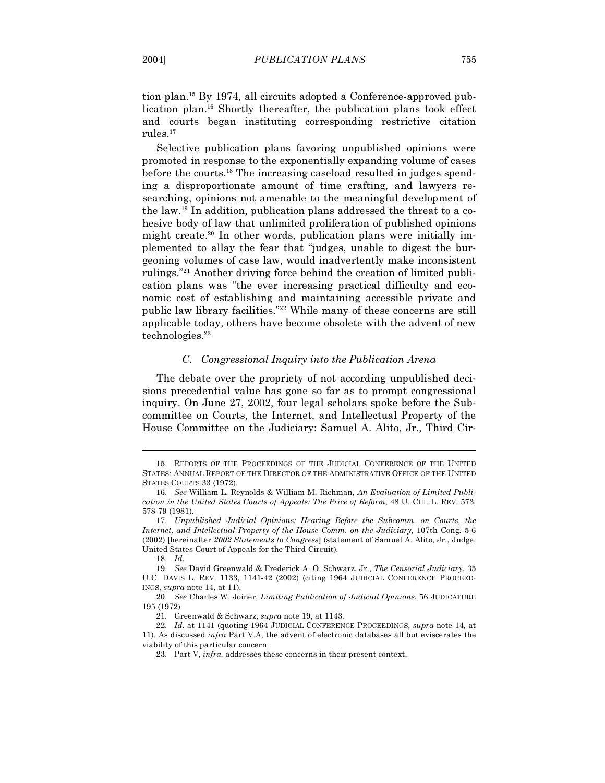tion plan.15 By 1974, all circuits adopted a Conference-approved publication plan.<sup>16</sup> Shortly thereafter, the publication plans took effect and courts began instituting corresponding restrictive citation rules.<sup>17</sup>

 Selective publication plans favoring unpublished opinions were promoted in response to the exponentially expanding volume of cases before the courts.18 The increasing caseload resulted in judges spending a disproportionate amount of time crafting, and lawyers researching, opinions not amenable to the meaningful development of the law.19 In addition, publication plans addressed the threat to a cohesive body of law that unlimited proliferation of published opinions might create.<sup>20</sup> In other words, publication plans were initially implemented to allay the fear that "judges, unable to digest the burgeoning volumes of case law, would inadvertently make inconsistent rulings."21 Another driving force behind the creation of limited publication plans was "the ever increasing practical difficulty and economic cost of establishing and maintaining accessible private and public law library facilities."<sup>22</sup> While many of these concerns are still applicable today, others have become obsolete with the advent of new technologies.<sup>23</sup>

### C. Congressional Inquiry into the Publication Arena

 The debate over the propriety of not according unpublished decisions precedential value has gone so far as to prompt congressional inquiry. On June 27, 2002, four legal scholars spoke before the Subcommittee on Courts, the Internet, and Intellectual Property of the House Committee on the Judiciary: Samuel A. Alito, Jr., Third Cir-

 <sup>15.</sup> REPORTS OF THE PROCEEDINGS OF THE JUDICIAL CONFERENCE OF THE UNITED STATES: ANNUAL REPORT OF THE DIRECTOR OF THE ADMINISTRATIVE OFFICE OF THE UNITED STATES COURTS 33 (1972).

 <sup>16.</sup> See William L. Reynolds & William M. Richman, An Evaluation of Limited Publication in the United States Courts of Appeals: The Price of Reform, 48 U. CHI. L. REV. 573, 578-79 (1981).

 <sup>17.</sup> Unpublished Judicial Opinions: Hearing Before the Subcomm. on Courts, the Internet, and Intellectual Property of the House Comm. on the Judiciary, 107th Cong. 5-6 (2002) [hereinafter 2002 Statements to Congress] (statement of Samuel A. Alito, Jr., Judge, United States Court of Appeals for the Third Circuit).

 <sup>18.</sup> Id.

 <sup>19.</sup> See David Greenwald & Frederick A. O. Schwarz, Jr., The Censorial Judiciary, 35 U.C. DAVIS L. REV. 1133, 1141-42 (2002) (citing 1964 JUDICIAL CONFERENCE PROCEED-INGS, supra note 14, at 11).

 <sup>20.</sup> See Charles W. Joiner, Limiting Publication of Judicial Opinions, 56 JUDICATURE 195 (1972).

 <sup>21.</sup> Greenwald & Schwarz, supra note 19, at 1143.

 <sup>22.</sup> Id. at 1141 (quoting 1964 JUDICIAL CONFERENCE PROCEEDINGS, supra note 14, at 11). As discussed infra Part V.A, the advent of electronic databases all but eviscerates the viability of this particular concern.

 <sup>23.</sup> Part V, infra, addresses these concerns in their present context.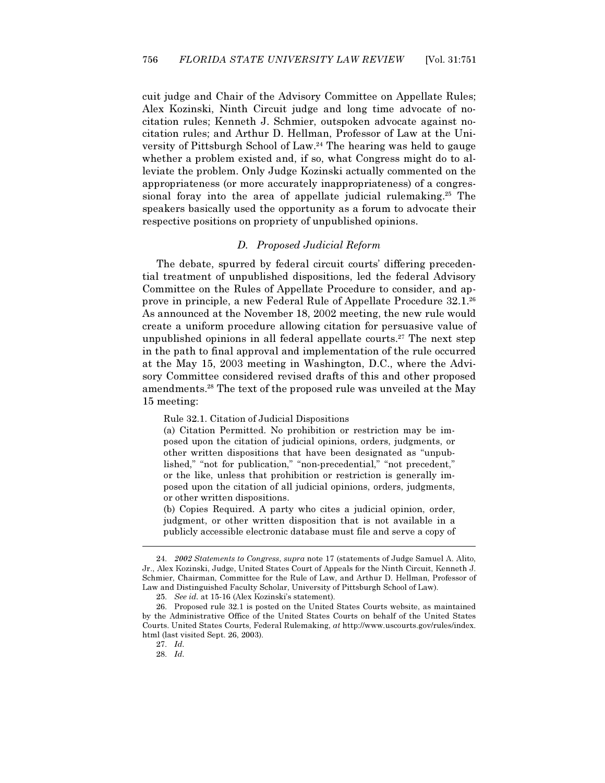cuit judge and Chair of the Advisory Committee on Appellate Rules; Alex Kozinski, Ninth Circuit judge and long time advocate of nocitation rules; Kenneth J. Schmier, outspoken advocate against nocitation rules; and Arthur D. Hellman, Professor of Law at the University of Pittsburgh School of Law.<sup>24</sup> The hearing was held to gauge whether a problem existed and, if so, what Congress might do to alleviate the problem. Only Judge Kozinski actually commented on the appropriateness (or more accurately inappropriateness) of a congressional foray into the area of appellate judicial rulemaking.<sup>25</sup> The speakers basically used the opportunity as a forum to advocate their respective positions on propriety of unpublished opinions.

### D. Proposed Judicial Reform

 The debate, spurred by federal circuit courts' differing precedential treatment of unpublished dispositions, led the federal Advisory Committee on the Rules of Appellate Procedure to consider, and approve in principle, a new Federal Rule of Appellate Procedure 32.1.<sup>26</sup> As announced at the November 18, 2002 meeting, the new rule would create a uniform procedure allowing citation for persuasive value of unpublished opinions in all federal appellate courts.<sup>27</sup> The next step in the path to final approval and implementation of the rule occurred at the May 15, 2003 meeting in Washington, D.C., where the Advisory Committee considered revised drafts of this and other proposed amendments.<sup>28</sup> The text of the proposed rule was unveiled at the May 15 meeting:

Rule 32.1. Citation of Judicial Dispositions

(a) Citation Permitted. No prohibition or restriction may be imposed upon the citation of judicial opinions, orders, judgments, or other written dispositions that have been designated as "unpublished," "not for publication," "non-precedential," "not precedent," or the like, unless that prohibition or restriction is generally imposed upon the citation of all judicial opinions, orders, judgments, or other written dispositions.

(b) Copies Required. A party who cites a judicial opinion, order, judgment, or other written disposition that is not available in a publicly accessible electronic database must file and serve a copy of

 <sup>24.</sup> 2002 Statements to Congress, supra note 17 (statements of Judge Samuel A. Alito, Jr., Alex Kozinski, Judge, United States Court of Appeals for the Ninth Circuit, Kenneth J. Schmier, Chairman, Committee for the Rule of Law, and Arthur D. Hellman, Professor of Law and Distinguished Faculty Scholar, University of Pittsburgh School of Law).

 <sup>25.</sup> See id. at 15-16 (Alex Kozinski's statement).

 <sup>26.</sup> Proposed rule 32.1 is posted on the United States Courts website, as maintained by the Administrative Office of the United States Courts on behalf of the United States Courts. United States Courts, Federal Rulemaking, at http://www.uscourts.gov/rules/index. html (last visited Sept. 26, 2003).

 <sup>27.</sup> Id.

 <sup>28.</sup> Id.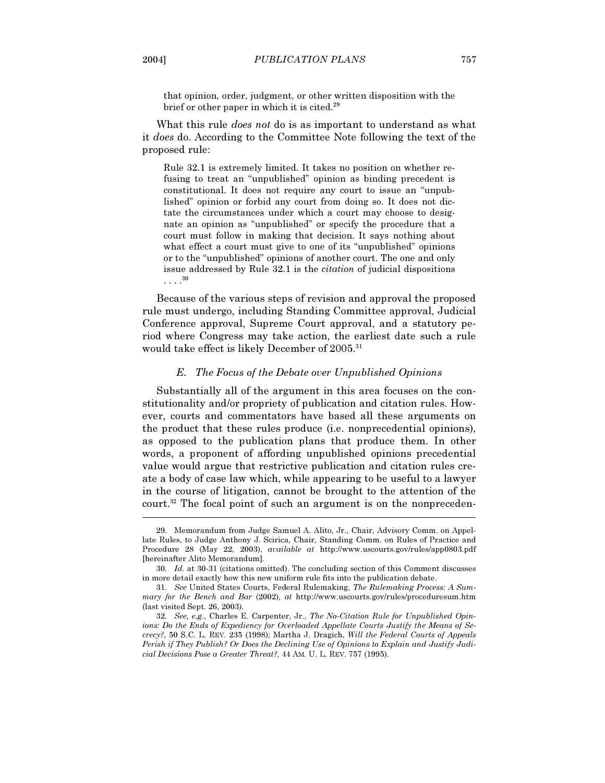that opinion, order, judgment, or other written disposition with the brief or other paper in which it is cited.<sup>29</sup>

What this rule *does not* do is as important to understand as what it does do. According to the Committee Note following the text of the proposed rule:

Rule 32.1 is extremely limited. It takes no position on whether refusing to treat an "unpublished" opinion as binding precedent is constitutional. It does not require any court to issue an "unpublished" opinion or forbid any court from doing so. It does not dictate the circumstances under which a court may choose to designate an opinion as "unpublished" or specify the procedure that a court must follow in making that decision. It says nothing about what effect a court must give to one of its "unpublished" opinions or to the "unpublished" opinions of another court. The one and only issue addressed by Rule 32.1 is the citation of judicial dispositions  $\ldots$ <sup>30</sup>

 Because of the various steps of revision and approval the proposed rule must undergo, including Standing Committee approval, Judicial Conference approval, Supreme Court approval, and a statutory period where Congress may take action, the earliest date such a rule would take effect is likely December of 2005.<sup>31</sup>

#### E. The Focus of the Debate over Unpublished Opinions

 Substantially all of the argument in this area focuses on the constitutionality and/or propriety of publication and citation rules. However, courts and commentators have based all these arguments on the product that these rules produce (i.e. nonprecedential opinions), as opposed to the publication plans that produce them. In other words, a proponent of affording unpublished opinions precedential value would argue that restrictive publication and citation rules create a body of case law which, while appearing to be useful to a lawyer in the course of litigation, cannot be brought to the attention of the court.<sup>32</sup> The focal point of such an argument is on the nonpreceden-

 <sup>29.</sup> Memorandum from Judge Samuel A. Alito, Jr., Chair, Advisory Comm. on Appellate Rules, to Judge Anthony J. Scirica, Chair, Standing Comm. on Rules of Practice and Procedure 28 (May 22, 2003), available at http://www.uscourts.gov/rules/app0803.pdf [hereinafter Alito Memorandum].

 <sup>30.</sup> Id. at 30-31 (citations omitted). The concluding section of this Comment discusses in more detail exactly how this new uniform rule fits into the publication debate.

 <sup>31.</sup> See United States Courts, Federal Rulemaking, The Rulemaking Process: A Summary for the Bench and Bar (2002), at http://www.uscourts.gov/rules/proceduresum.htm (last visited Sept. 26, 2003).

 <sup>32.</sup> See, e.g., Charles E. Carpenter, Jr., The No-Citation Rule for Unpublished Opinions: Do the Ends of Expediency for Overloaded Appellate Courts Justify the Means of Secrecy?, 50 S.C. L. REV. 235 (1998); Martha J. Dragich, Will the Federal Courts of Appeals Perish if They Publish? Or Does the Declining Use of Opinions to Explain and Justify Judicial Decisions Pose a Greater Threat?, 44 AM. U. L. REV. 757 (1995).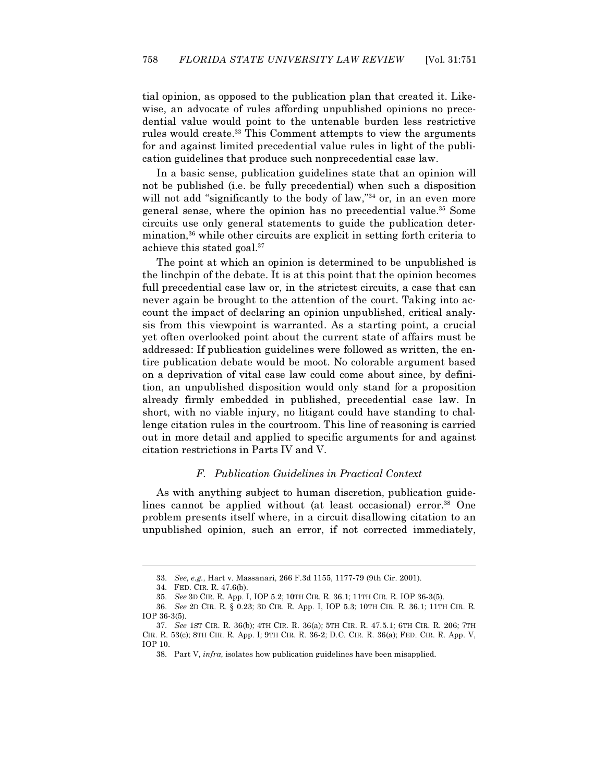tial opinion, as opposed to the publication plan that created it. Likewise, an advocate of rules affording unpublished opinions no precedential value would point to the untenable burden less restrictive rules would create.<sup>33</sup> This Comment attempts to view the arguments for and against limited precedential value rules in light of the publication guidelines that produce such nonprecedential case law.

 In a basic sense, publication guidelines state that an opinion will not be published (i.e. be fully precedential) when such a disposition will not add "significantly to the body of law,"<sup>34</sup> or, in an even more general sense, where the opinion has no precedential value.<sup>35</sup> Some circuits use only general statements to guide the publication determination,<sup>36</sup> while other circuits are explicit in setting forth criteria to achieve this stated goal.<sup>37</sup>

 The point at which an opinion is determined to be unpublished is the linchpin of the debate. It is at this point that the opinion becomes full precedential case law or, in the strictest circuits, a case that can never again be brought to the attention of the court. Taking into account the impact of declaring an opinion unpublished, critical analysis from this viewpoint is warranted. As a starting point, a crucial yet often overlooked point about the current state of affairs must be addressed: If publication guidelines were followed as written, the entire publication debate would be moot. No colorable argument based on a deprivation of vital case law could come about since, by definition, an unpublished disposition would only stand for a proposition already firmly embedded in published, precedential case law. In short, with no viable injury, no litigant could have standing to challenge citation rules in the courtroom. This line of reasoning is carried out in more detail and applied to specific arguments for and against citation restrictions in Parts IV and V.

### F. Publication Guidelines in Practical Context

 As with anything subject to human discretion, publication guidelines cannot be applied without (at least occasional) error.<sup>38</sup> One problem presents itself where, in a circuit disallowing citation to an unpublished opinion, such an error, if not corrected immediately,

 <sup>33.</sup> See, e.g., Hart v. Massanari, 266 F.3d 1155, 1177-79 (9th Cir. 2001).

 <sup>34.</sup> FED. CIR. R. 47.6(b).

 <sup>35.</sup> See 3D CIR. R. App. I, IOP 5.2; 10TH CIR. R. 36.1; 11TH CIR. R. IOP 36-3(5).

 <sup>36.</sup> See 2D CIR. R. § 0.23; 3D CIR. R. App. I, IOP 5.3; 10TH CIR. R. 36.1; 11TH CIR. R. IOP 36-3(5).

 <sup>37.</sup> See 1ST CIR. R. 36(b); 4TH CIR. R. 36(a); 5TH CIR. R. 47.5.1; 6TH CIR. R. 206; 7TH CIR. R. 53(c); 8TH CIR. R. App. I; 9TH CIR. R. 36-2; D.C. CIR. R. 36(a); FED. CIR. R. App. V, IOP 10.

 <sup>38.</sup> Part V, infra, isolates how publication guidelines have been misapplied.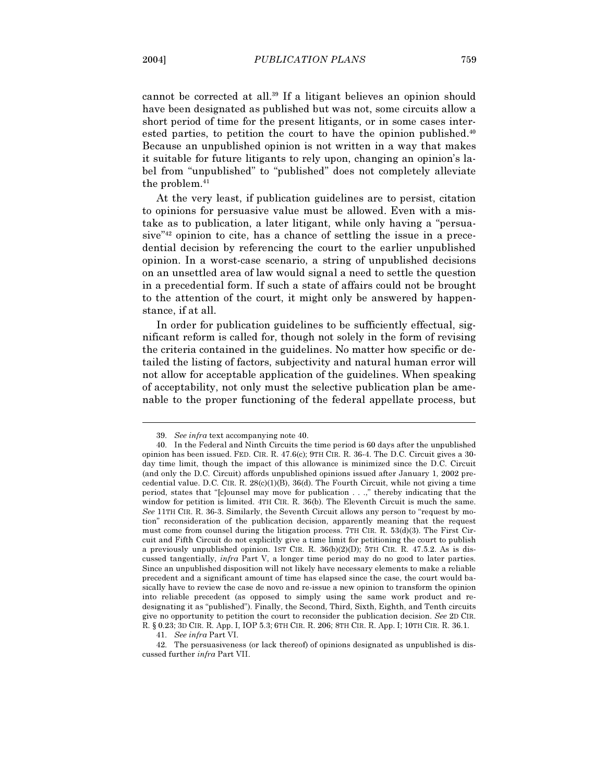cannot be corrected at all.<sup>39</sup> If a litigant believes an opinion should have been designated as published but was not, some circuits allow a short period of time for the present litigants, or in some cases interested parties, to petition the court to have the opinion published.<sup>40</sup> Because an unpublished opinion is not written in a way that makes it suitable for future litigants to rely upon, changing an opinion's label from "unpublished" to "published" does not completely alleviate the problem.<sup>41</sup>

 At the very least, if publication guidelines are to persist, citation to opinions for persuasive value must be allowed. Even with a mistake as to publication, a later litigant, while only having a "persuasive"42 opinion to cite, has a chance of settling the issue in a precedential decision by referencing the court to the earlier unpublished opinion. In a worst-case scenario, a string of unpublished decisions on an unsettled area of law would signal a need to settle the question in a precedential form. If such a state of affairs could not be brought to the attention of the court, it might only be answered by happenstance, if at all.

 In order for publication guidelines to be sufficiently effectual, significant reform is called for, though not solely in the form of revising the criteria contained in the guidelines. No matter how specific or detailed the listing of factors, subjectivity and natural human error will not allow for acceptable application of the guidelines. When speaking of acceptability, not only must the selective publication plan be amenable to the proper functioning of the federal appellate process, but

41. See infra Part VI.

l

 <sup>39.</sup> See infra text accompanying note 40.

 <sup>40.</sup> In the Federal and Ninth Circuits the time period is 60 days after the unpublished opinion has been issued. FED. CIR. R. 47.6(c); 9TH CIR. R. 36-4. The D.C. Circuit gives a 30 day time limit, though the impact of this allowance is minimized since the D.C. Circuit (and only the D.C. Circuit) affords unpublished opinions issued after January 1, 2002 precedential value. D.C. CIR. R.  $28(c)(1)(B)$ ,  $36(d)$ . The Fourth Circuit, while not giving a time period, states that "[c]ounsel may move for publication . . .," thereby indicating that the window for petition is limited. 4TH CIR. R. 36(b). The Eleventh Circuit is much the same. See 11TH CIR. R. 36-3. Similarly, the Seventh Circuit allows any person to "request by motion" reconsideration of the publication decision, apparently meaning that the request must come from counsel during the litigation process. 7TH CIR. R. 53(d)(3). The First Circuit and Fifth Circuit do not explicitly give a time limit for petitioning the court to publish a previously unpublished opinion. 1ST CIR. R. 36(b)(2)(D); 5TH CIR. R. 47.5.2. As is discussed tangentially, infra Part V, a longer time period may do no good to later parties. Since an unpublished disposition will not likely have necessary elements to make a reliable precedent and a significant amount of time has elapsed since the case, the court would basically have to review the case de novo and re-issue a new opinion to transform the opinion into reliable precedent (as opposed to simply using the same work product and redesignating it as "published"). Finally, the Second, Third, Sixth, Eighth, and Tenth circuits give no opportunity to petition the court to reconsider the publication decision. See 2D CIR. R. § 0.23; 3D CIR. R. App. I, IOP 5.3; 6TH CIR. R. 206; 8TH CIR. R. App. I; 10TH CIR. R. 36.1.

 <sup>42.</sup> The persuasiveness (or lack thereof) of opinions designated as unpublished is discussed further infra Part VII.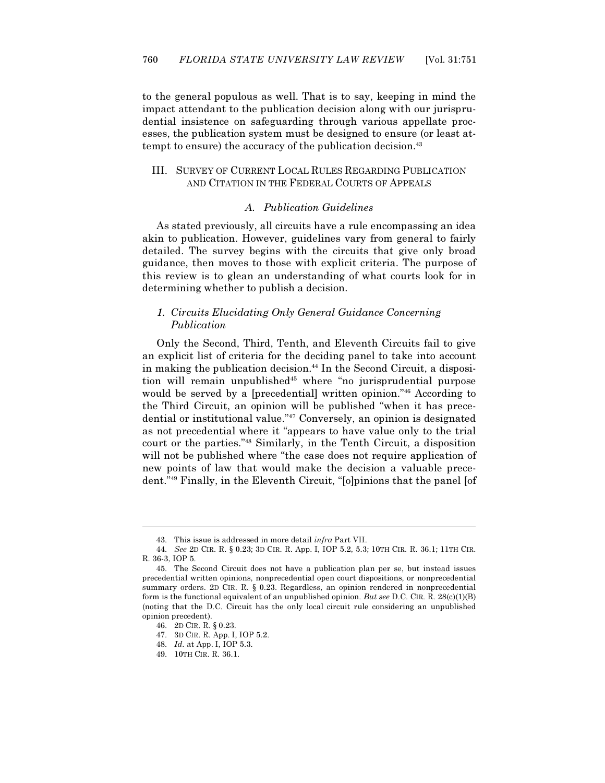to the general populous as well. That is to say, keeping in mind the impact attendant to the publication decision along with our jurisprudential insistence on safeguarding through various appellate processes, the publication system must be designed to ensure (or least attempt to ensure) the accuracy of the publication decision.<sup>43</sup>

# III. SURVEY OF CURRENT LOCAL RULES REGARDING PUBLICATION AND CITATION IN THE FEDERAL COURTS OF APPEALS

### A. Publication Guidelines

 As stated previously, all circuits have a rule encompassing an idea akin to publication. However, guidelines vary from general to fairly detailed. The survey begins with the circuits that give only broad guidance, then moves to those with explicit criteria. The purpose of this review is to glean an understanding of what courts look for in determining whether to publish a decision.

## 1. Circuits Elucidating Only General Guidance Concerning Publication

 Only the Second, Third, Tenth, and Eleventh Circuits fail to give an explicit list of criteria for the deciding panel to take into account in making the publication decision.<sup>44</sup> In the Second Circuit, a disposition will remain unpublished<sup>45</sup> where "no jurisprudential purpose would be served by a [precedential] written opinion."<sup>46</sup> According to the Third Circuit, an opinion will be published "when it has precedential or institutional value."<sup>47</sup> Conversely, an opinion is designated as not precedential where it "appears to have value only to the trial court or the parties."<sup>48</sup> Similarly, in the Tenth Circuit, a disposition will not be published where "the case does not require application of new points of law that would make the decision a valuable precedent."<sup>49</sup> Finally, in the Eleventh Circuit, "[o]pinions that the panel [of

 <sup>43.</sup> This issue is addressed in more detail infra Part VII.

 <sup>44.</sup> See 2D CIR. R. § 0.23; 3D CIR. R. App. I, IOP 5.2, 5.3; 10TH CIR. R. 36.1; 11TH CIR. R. 36-3, IOP 5.

 <sup>45.</sup> The Second Circuit does not have a publication plan per se, but instead issues precedential written opinions, nonprecedential open court dispositions, or nonprecedential summary orders. 2D CIR. R. § 0.23. Regardless, an opinion rendered in nonprecedential form is the functional equivalent of an unpublished opinion. But see D.C. CIR. R.  $28(c)(1)(B)$ (noting that the D.C. Circuit has the only local circuit rule considering an unpublished opinion precedent).

 <sup>46. 2</sup>D CIR. R. § 0.23.

 <sup>47. 3</sup>D CIR. R. App. I, IOP 5.2.

 <sup>48.</sup> Id. at App. I, IOP 5.3.

 <sup>49. 10</sup>TH CIR. R. 36.1.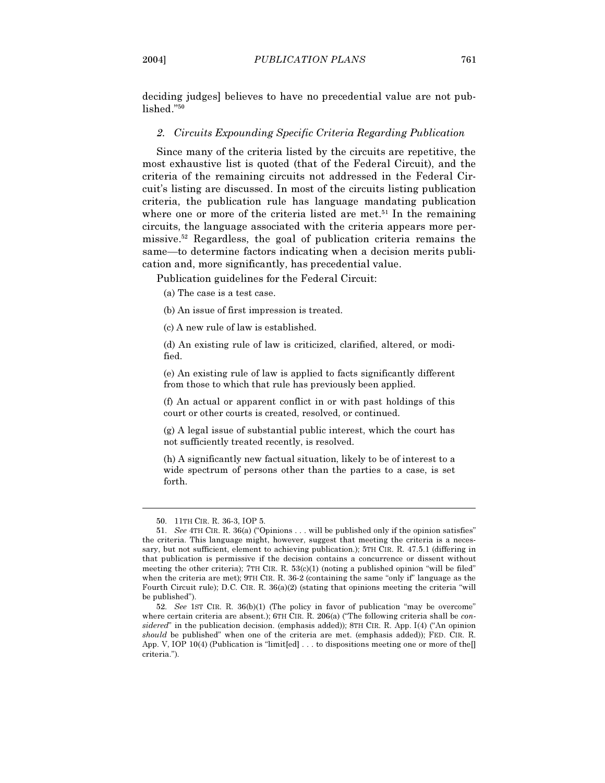deciding judges] believes to have no precedential value are not published."<sup>50</sup>

#### 2. Circuits Expounding Specific Criteria Regarding Publication

 Since many of the criteria listed by the circuits are repetitive, the most exhaustive list is quoted (that of the Federal Circuit), and the criteria of the remaining circuits not addressed in the Federal Circuit's listing are discussed. In most of the circuits listing publication criteria, the publication rule has language mandating publication where one or more of the criteria listed are met.<sup>51</sup> In the remaining circuits, the language associated with the criteria appears more permissive.<sup>52</sup> Regardless, the goal of publication criteria remains the same—to determine factors indicating when a decision merits publication and, more significantly, has precedential value.

Publication guidelines for the Federal Circuit:

(a) The case is a test case.

(b) An issue of first impression is treated.

(c) A new rule of law is established.

(d) An existing rule of law is criticized, clarified, altered, or modified.

(e) An existing rule of law is applied to facts significantly different from those to which that rule has previously been applied.

(f) An actual or apparent conflict in or with past holdings of this court or other courts is created, resolved, or continued.

(g) A legal issue of substantial public interest, which the court has not sufficiently treated recently, is resolved.

(h) A significantly new factual situation, likely to be of interest to a wide spectrum of persons other than the parties to a case, is set forth.

 <sup>50. 11</sup>TH CIR. R. 36-3, IOP 5.

 <sup>51.</sup> See 4TH CIR. R. 36(a) ("Opinions . . . will be published only if the opinion satisfies" the criteria. This language might, however, suggest that meeting the criteria is a necessary, but not sufficient, element to achieving publication.); 5TH CIR. R. 47.5.1 (differing in that publication is permissive if the decision contains a concurrence or dissent without meeting the other criteria); 7TH CIR. R.  $53(c)(1)$  (noting a published opinion "will be filed" when the criteria are met); 9TH CIR. R. 36-2 (containing the same "only if" language as the Fourth Circuit rule); D.C. CIR. R. 36(a)(2) (stating that opinions meeting the criteria "will be published").

 <sup>52.</sup> See 1ST CIR. R. 36(b)(1) (The policy in favor of publication "may be overcome" where certain criteria are absent.); 6TH CIR. R. 206(a) ("The following criteria shall be considered" in the publication decision. (emphasis added)); 8TH CIR. R. App. I(4) ("An opinion should be published" when one of the criteria are met. (emphasis added)); FED. CIR. R. App. V, IOP 10(4) (Publication is "limit[ed]  $\dots$  to dispositions meeting one or more of the criteria.").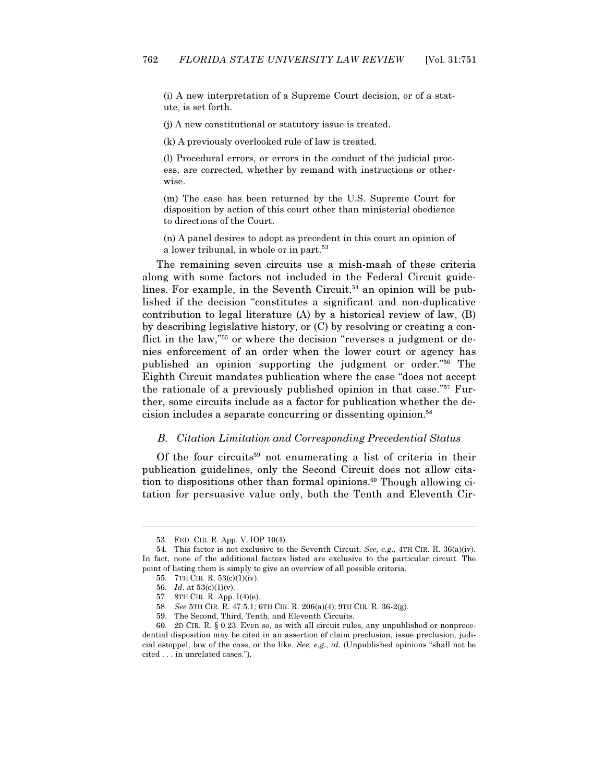(i) A new interpretation of a Supreme Court decision, or of a statute, is set forth.

(j) A new constitutional or statutory issue is treated.

(k) A previously overlooked rule of law is treated.

(l) Procedural errors, or errors in the conduct of the judicial process, are corrected, whether by remand with instructions or otherwise.

(m) The case has been returned by the U.S. Supreme Court for disposition by action of this court other than ministerial obedience to directions of the Court.

(n) A panel desires to adopt as precedent in this court an opinion of a lower tribunal, in whole or in part.<sup>53</sup>

 The remaining seven circuits use a mish-mash of these criteria along with some factors not included in the Federal Circuit guidelines. For example, in the Seventh Circuit, $54$  an opinion will be published if the decision "constitutes a significant and non-duplicative contribution to legal literature (A) by a historical review of law, (B) by describing legislative history, or (C) by resolving or creating a conflict in the law,"55 or where the decision "reverses a judgment or denies enforcement of an order when the lower court or agency has published an opinion supporting the judgment or order."<sup>56</sup> The Eighth Circuit mandates publication where the case "does not accept the rationale of a previously published opinion in that case."57 Further, some circuits include as a factor for publication whether the decision includes a separate concurring or dissenting opinion.<sup>58</sup>

### B. Citation Limitation and Corresponding Precedential Status

 Of the four circuits<sup>59</sup> not enumerating a list of criteria in their publication guidelines, only the Second Circuit does not allow citation to dispositions other than formal opinions.<sup>60</sup> Though allowing citation for persuasive value only, both the Tenth and Eleventh Cir-

 <sup>53.</sup> FED. CIR. R. App. V, IOP 10(4).

 <sup>54.</sup> This factor is not exclusive to the Seventh Circuit. See, e.g., 4TH CIR. R. 36(a)(iv). In fact, none of the additional factors listed are exclusive to the particular circuit. The point of listing them is simply to give an overview of all possible criteria.

 <sup>55. 7</sup>TH CIR. R. 53(c)(1)(iv).

<sup>56.</sup> *Id.* at  $53(c)(1)(v)$ .

 <sup>57. 8</sup>TH CIR. R. App. I(4)(e).

 <sup>58.</sup> See 5TH CIR. R. 47.5.1; 6TH CIR. R. 206(a)(4); 9TH CIR. R. 36-2(g).

 <sup>59.</sup> The Second, Third, Tenth, and Eleventh Circuits.

 <sup>60. 2</sup>D CIR. R. § 0.23. Even so, as with all circuit rules, any unpublished or nonprecedential disposition may be cited in an assertion of claim preclusion, issue preclusion, judicial estoppel, law of the case, or the like. See, e.g., id. (Unpublished opinions "shall not be cited . . . in unrelated cases.").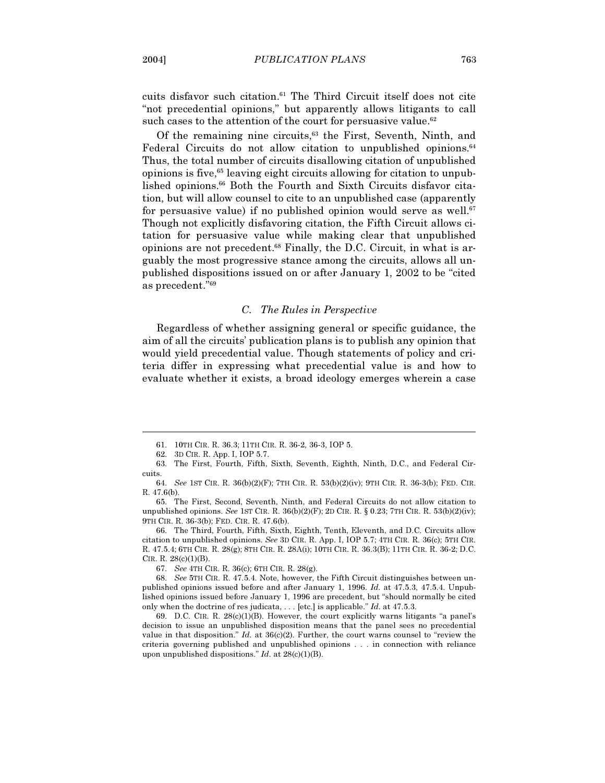cuits disfavor such citation.<sup>61</sup> The Third Circuit itself does not cite "not precedential opinions," but apparently allows litigants to call such cases to the attention of the court for persuasive value.<sup>62</sup>

Of the remaining nine circuits,<sup>63</sup> the First, Seventh, Ninth, and Federal Circuits do not allow citation to unpublished opinions.<sup>64</sup> Thus, the total number of circuits disallowing citation of unpublished opinions is five,65 leaving eight circuits allowing for citation to unpublished opinions.<sup>66</sup> Both the Fourth and Sixth Circuits disfavor citation, but will allow counsel to cite to an unpublished case (apparently for persuasive value) if no published opinion would serve as well. $67$ Though not explicitly disfavoring citation, the Fifth Circuit allows citation for persuasive value while making clear that unpublished opinions are not precedent. $68$  Finally, the D.C. Circuit, in what is arguably the most progressive stance among the circuits, allows all unpublished dispositions issued on or after January 1, 2002 to be "cited as precedent."<sup>69</sup>

### C. The Rules in Perspective

 Regardless of whether assigning general or specific guidance, the aim of all the circuits' publication plans is to publish any opinion that would yield precedential value. Though statements of policy and criteria differ in expressing what precedential value is and how to evaluate whether it exists, a broad ideology emerges wherein a case

 $\overline{a}$ 

 66. The Third, Fourth, Fifth, Sixth, Eighth, Tenth, Eleventh, and D.C. Circuits allow citation to unpublished opinions. See 3D CIR. R. App. I, IOP 5.7; 4TH CIR. R. 36(c); 5TH CIR. R. 47.5.4; 6TH CIR. R. 28(g); 8TH CIR. R. 28A(i); 10TH CIR. R. 36.3(B); 11TH CIR. R. 36-2; D.C. CIR. R. 28(c)(1)(B).

67. See 4TH CIR. R. 36(c); 6TH CIR. R. 28(g).

 68. See 5TH CIR. R. 47.5.4. Note, however, the Fifth Circuit distinguishes between unpublished opinions issued before and after January 1, 1996. Id. at 47.5.3, 47.5.4. Unpublished opinions issued before January 1, 1996 are precedent, but "should normally be cited only when the doctrine of res judicata,  $\dots$  [etc.] is applicable." Id. at 47.5.3.

 69. D.C. CIR. R. 28(c)(1)(B). However, the court explicitly warns litigants "a panel's decision to issue an unpublished disposition means that the panel sees no precedential value in that disposition." Id. at  $36(c)(2)$ . Further, the court warns counsel to "review the criteria governing published and unpublished opinions . . . in connection with reliance upon unpublished dispositions." Id. at  $28(c)(1)(B)$ .

 <sup>61. 10</sup>TH CIR. R. 36.3; 11TH CIR. R. 36-2, 36-3, IOP 5.

 <sup>62. 3</sup>D CIR. R. App. I, IOP 5.7.

 <sup>63.</sup> The First, Fourth, Fifth, Sixth, Seventh, Eighth, Ninth, D.C., and Federal Circuits.

 <sup>64.</sup> See 1ST CIR. R. 36(b)(2)(F); 7TH CIR. R. 53(b)(2)(iv); 9TH CIR. R. 36-3(b); FED. CIR. R. 47.6(b).

 <sup>65.</sup> The First, Second, Seventh, Ninth, and Federal Circuits do not allow citation to unpublished opinions. See 1ST CIR. R.  $36(b)(2)(F)$ ; 2D CIR. R.  $\S 0.23$ ; 7TH CIR. R.  $53(b)(2)(iv)$ ; 9TH CIR. R. 36-3(b); FED. CIR. R. 47.6(b).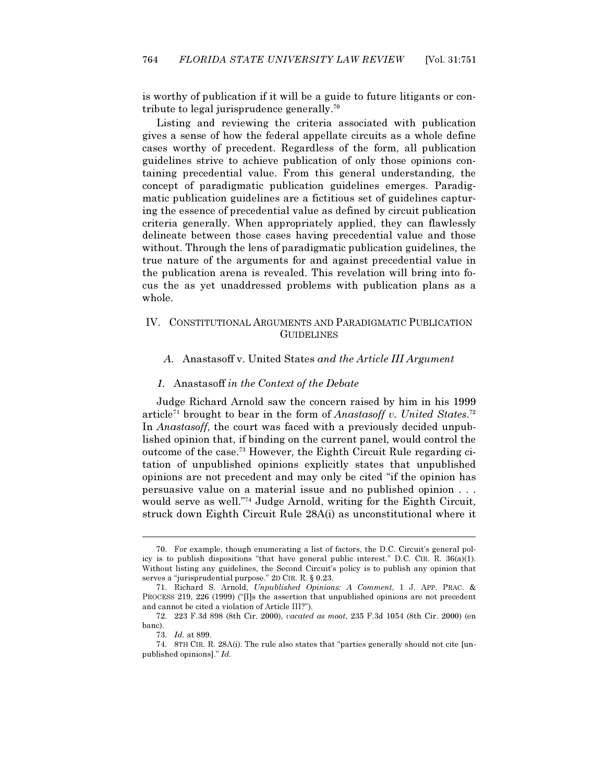is worthy of publication if it will be a guide to future litigants or contribute to legal jurisprudence generally.<sup>70</sup>

 Listing and reviewing the criteria associated with publication gives a sense of how the federal appellate circuits as a whole define cases worthy of precedent. Regardless of the form, all publication guidelines strive to achieve publication of only those opinions containing precedential value. From this general understanding, the concept of paradigmatic publication guidelines emerges. Paradigmatic publication guidelines are a fictitious set of guidelines capturing the essence of precedential value as defined by circuit publication criteria generally. When appropriately applied, they can flawlessly delineate between those cases having precedential value and those without. Through the lens of paradigmatic publication guidelines, the true nature of the arguments for and against precedential value in the publication arena is revealed. This revelation will bring into focus the as yet unaddressed problems with publication plans as a whole.

# IV. CONSTITUTIONAL ARGUMENTS AND PARADIGMATIC PUBLICATION **GUIDELINES**

#### A. Anastasoff v. United States and the Article III Argument

#### 1. Anastasoff in the Context of the Debate

 Judge Richard Arnold saw the concern raised by him in his 1999 article<sup>71</sup> brought to bear in the form of Anastasoff v. United States.<sup>72</sup> In *Anastasoff*, the court was faced with a previously decided unpublished opinion that, if binding on the current panel, would control the outcome of the case.73 However, the Eighth Circuit Rule regarding citation of unpublished opinions explicitly states that unpublished opinions are not precedent and may only be cited "if the opinion has persuasive value on a material issue and no published opinion . . . would serve as well."<sup>74</sup> Judge Arnold, writing for the Eighth Circuit, struck down Eighth Circuit Rule 28A(i) as unconstitutional where it

 <sup>70.</sup> For example, though enumerating a list of factors, the D.C. Circuit's general policy is to publish dispositions "that have general public interest." D.C. CIR. R.  $36(a)(1)$ . Without listing any guidelines, the Second Circuit's policy is to publish any opinion that serves a "jurisprudential purpose." 2D CIR. R. § 0.23.

 <sup>71.</sup> Richard S. Arnold, Unpublished Opinions: A Comment, 1 J. APP. PRAC. & PROCESS 219, 226 (1999) ("[I]s the assertion that unpublished opinions are not precedent and cannot be cited a violation of Article III?").

 <sup>72. 223</sup> F.3d 898 (8th Cir. 2000), vacated as moot, 235 F.3d 1054 (8th Cir. 2000) (en banc).

 <sup>73.</sup> Id. at 899.

 <sup>74. 8</sup>TH CIR. R. 28A(i). The rule also states that "parties generally should not cite [unpublished opinions]." Id.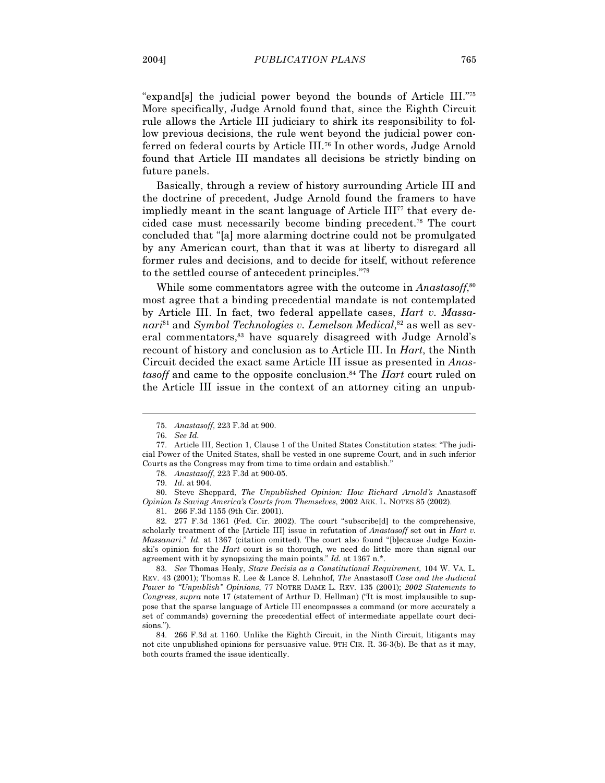"expand[s] the judicial power beyond the bounds of Article III."<sup>75</sup> More specifically, Judge Arnold found that, since the Eighth Circuit rule allows the Article III judiciary to shirk its responsibility to follow previous decisions, the rule went beyond the judicial power conferred on federal courts by Article III.<sup>76</sup> In other words, Judge Arnold found that Article III mandates all decisions be strictly binding on future panels.

 Basically, through a review of history surrounding Article III and the doctrine of precedent, Judge Arnold found the framers to have impliedly meant in the scant language of Article  $III<sup>77</sup>$  that every decided case must necessarily become binding precedent.<sup>78</sup> The court concluded that "[a] more alarming doctrine could not be promulgated by any American court, than that it was at liberty to disregard all former rules and decisions, and to decide for itself, without reference to the settled course of antecedent principles."<sup>79</sup>

While some commentators agree with the outcome in Anastasoff,<sup>80</sup> most agree that a binding precedential mandate is not contemplated by Article III. In fact, two federal appellate cases, Hart v. Massanari<sup>81</sup> and Symbol Technologies v. Lemelson Medical,<sup>82</sup> as well as several commentators,<sup>83</sup> have squarely disagreed with Judge Arnold's recount of history and conclusion as to Article III. In *Hart*, the Ninth Circuit decided the exact same Article III issue as presented in Anastasoff and came to the opposite conclusion.<sup>84</sup> The Hart court ruled on the Article III issue in the context of an attorney citing an unpub-

 <sup>75.</sup> Anastasoff, 223 F.3d at 900.

 <sup>76.</sup> See Id.

 <sup>77.</sup> Article III, Section 1, Clause 1 of the United States Constitution states: "The judicial Power of the United States, shall be vested in one supreme Court, and in such inferior Courts as the Congress may from time to time ordain and establish."

 <sup>78.</sup> Anastasoff, 223 F.3d at 900-05.

 <sup>79.</sup> Id. at 904.

 <sup>80.</sup> Steve Sheppard, The Unpublished Opinion: How Richard Arnold's Anastasoff Opinion Is Saving America's Courts from Themselves, 2002 ARK. L. NOTES 85 (2002).

 <sup>81. 266</sup> F.3d 1155 (9th Cir. 2001).

 <sup>82. 277</sup> F.3d 1361 (Fed. Cir. 2002). The court "subscribe[d] to the comprehensive, scholarly treatment of the [Article III] issue in refutation of Anastasoff set out in Hart v. Massanari." Id. at 1367 (citation omitted). The court also found "[b]ecause Judge Kozinski's opinion for the Hart court is so thorough, we need do little more than signal our agreement with it by synopsizing the main points." Id. at 1367 n.\*.

 <sup>83.</sup> See Thomas Healy, Stare Decisis as a Constitutional Requirement, 104 W. VA. L. REV. 43 (2001); Thomas R. Lee & Lance S. Lehnhof, The Anastasoff Case and the Judicial Power to "Unpublish" Opinions, 77 NOTRE DAME L. REV. 135 (2001); 2002 Statements to Congress, supra note 17 (statement of Arthur D. Hellman) ("It is most implausible to suppose that the sparse language of Article III encompasses a command (or more accurately a set of commands) governing the precedential effect of intermediate appellate court decisions.").

 <sup>84. 266</sup> F.3d at 1160. Unlike the Eighth Circuit, in the Ninth Circuit, litigants may not cite unpublished opinions for persuasive value. 9TH CIR. R. 36-3(b). Be that as it may, both courts framed the issue identically.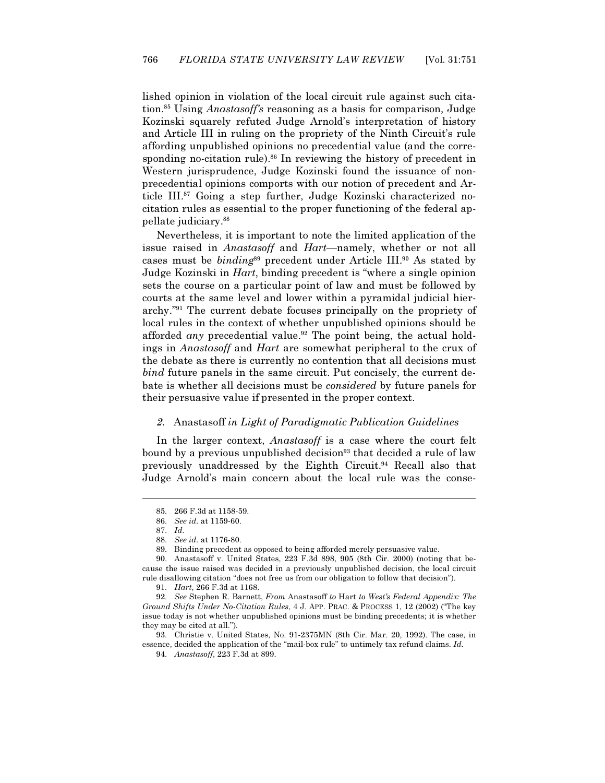lished opinion in violation of the local circuit rule against such citation.<sup>85</sup> Using Anastasoff's reasoning as a basis for comparison, Judge Kozinski squarely refuted Judge Arnold's interpretation of history and Article III in ruling on the propriety of the Ninth Circuit's rule affording unpublished opinions no precedential value (and the corresponding no-citation rule).<sup>86</sup> In reviewing the history of precedent in Western jurisprudence, Judge Kozinski found the issuance of nonprecedential opinions comports with our notion of precedent and Article III.87 Going a step further, Judge Kozinski characterized nocitation rules as essential to the proper functioning of the federal appellate judiciary.<sup>88</sup>

 Nevertheless, it is important to note the limited application of the issue raised in Anastasoff and Hart—namely, whether or not all cases must be *binding*<sup>89</sup> precedent under Article III.<sup>90</sup> As stated by Judge Kozinski in Hart, binding precedent is "where a single opinion sets the course on a particular point of law and must be followed by courts at the same level and lower within a pyramidal judicial hierarchy."<sup>91</sup> The current debate focuses principally on the propriety of local rules in the context of whether unpublished opinions should be afforded any precedential value.<sup>92</sup> The point being, the actual holdings in Anastasoff and Hart are somewhat peripheral to the crux of the debate as there is currently no contention that all decisions must bind future panels in the same circuit. Put concisely, the current debate is whether all decisions must be considered by future panels for their persuasive value if presented in the proper context.

### 2. Anastasoff in Light of Paradigmatic Publication Guidelines

 In the larger context, Anastasoff is a case where the court felt bound by a previous unpublished decision<sup>93</sup> that decided a rule of law previously unaddressed by the Eighth Circuit.<sup>94</sup> Recall also that Judge Arnold's main concern about the local rule was the conse-

 <sup>85. 266</sup> F.3d at 1158-59.

 <sup>86.</sup> See id. at 1159-60.

 <sup>87.</sup> Id.

 <sup>88.</sup> See id. at 1176-80.

 <sup>89.</sup> Binding precedent as opposed to being afforded merely persuasive value.

 <sup>90.</sup> Anastasoff v. United States, 223 F.3d 898, 905 (8th Cir. 2000) (noting that because the issue raised was decided in a previously unpublished decision, the local circuit rule disallowing citation "does not free us from our obligation to follow that decision").

 <sup>91.</sup> Hart, 266 F.3d at 1168.

 <sup>92.</sup> See Stephen R. Barnett, From Anastasoff to Hart to West's Federal Appendix: The Ground Shifts Under No-Citation Rules, 4 J. APP. PRAC. & PROCESS 1, 12 (2002) ("The key issue today is not whether unpublished opinions must be binding precedents; it is whether they may be cited at all.").

 <sup>93.</sup> Christie v. United States, No. 91-2375MN (8th Cir. Mar. 20, 1992). The case, in essence, decided the application of the "mail-box rule" to untimely tax refund claims. Id.

 <sup>94.</sup> Anastasoff, 223 F.3d at 899.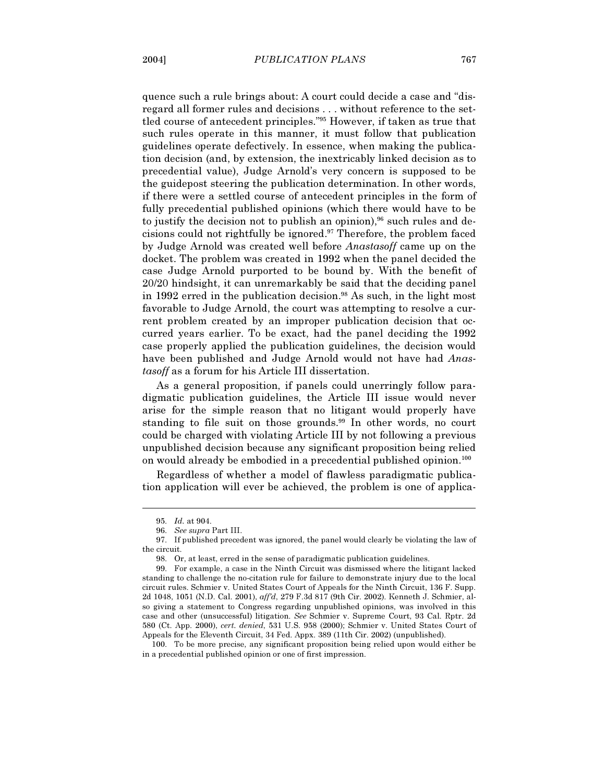quence such a rule brings about: A court could decide a case and "disregard all former rules and decisions . . . without reference to the settled course of antecedent principles."<sup>95</sup> However, if taken as true that such rules operate in this manner, it must follow that publication guidelines operate defectively. In essence, when making the publication decision (and, by extension, the inextricably linked decision as to precedential value), Judge Arnold's very concern is supposed to be the guidepost steering the publication determination. In other words, if there were a settled course of antecedent principles in the form of fully precedential published opinions (which there would have to be to justify the decision not to publish an opinion),<sup>96</sup> such rules and decisions could not rightfully be ignored.<sup>97</sup> Therefore, the problem faced by Judge Arnold was created well before Anastasoff came up on the docket. The problem was created in 1992 when the panel decided the case Judge Arnold purported to be bound by. With the benefit of 20/20 hindsight, it can unremarkably be said that the deciding panel in 1992 erred in the publication decision.<sup>98</sup> As such, in the light most favorable to Judge Arnold, the court was attempting to resolve a current problem created by an improper publication decision that occurred years earlier. To be exact, had the panel deciding the 1992 case properly applied the publication guidelines, the decision would have been published and Judge Arnold would not have had Anastasoff as a forum for his Article III dissertation.

 As a general proposition, if panels could unerringly follow paradigmatic publication guidelines, the Article III issue would never arise for the simple reason that no litigant would properly have standing to file suit on those grounds.<sup>99</sup> In other words, no court could be charged with violating Article III by not following a previous unpublished decision because any significant proposition being relied on would already be embodied in a precedential published opinion.<sup>100</sup>

 Regardless of whether a model of flawless paradigmatic publication application will ever be achieved, the problem is one of applica-

 <sup>95.</sup> Id. at 904.

 <sup>96.</sup> See supra Part III.

 <sup>97.</sup> If published precedent was ignored, the panel would clearly be violating the law of the circuit.

 <sup>98.</sup> Or, at least, erred in the sense of paradigmatic publication guidelines.

 <sup>99.</sup> For example, a case in the Ninth Circuit was dismissed where the litigant lacked standing to challenge the no-citation rule for failure to demonstrate injury due to the local circuit rules. Schmier v. United States Court of Appeals for the Ninth Circuit, 136 F. Supp. 2d 1048, 1051 (N.D. Cal. 2001), aff'd, 279 F.3d 817 (9th Cir. 2002). Kenneth J. Schmier, also giving a statement to Congress regarding unpublished opinions, was involved in this case and other (unsuccessful) litigation. See Schmier v. Supreme Court, 93 Cal. Rptr. 2d 580 (Ct. App. 2000), cert. denied, 531 U.S. 958 (2000); Schmier v. United States Court of Appeals for the Eleventh Circuit, 34 Fed. Appx. 389 (11th Cir. 2002) (unpublished).

 <sup>100.</sup> To be more precise, any significant proposition being relied upon would either be in a precedential published opinion or one of first impression.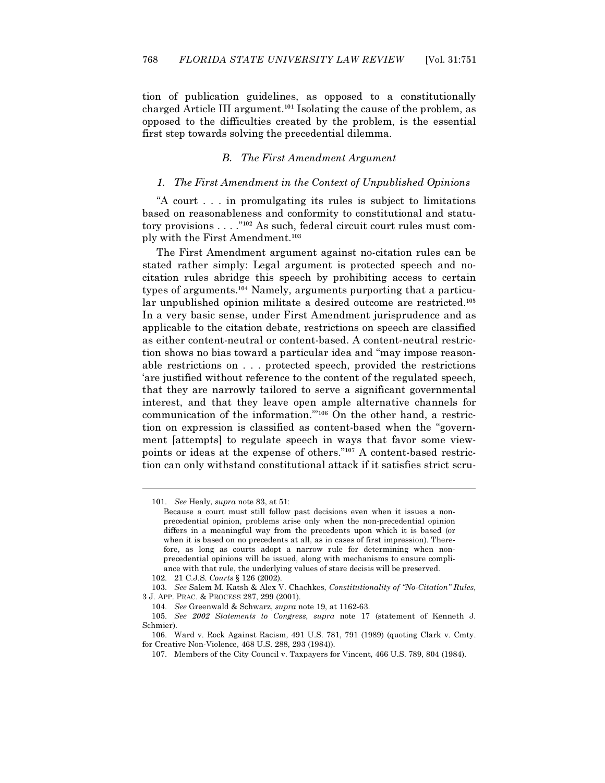tion of publication guidelines, as opposed to a constitutionally charged Article III argument.<sup>101</sup> Isolating the cause of the problem, as opposed to the difficulties created by the problem, is the essential first step towards solving the precedential dilemma.

# B. The First Amendment Argument

#### 1. The First Amendment in the Context of Unpublished Opinions

"A court . . . in promulgating its rules is subject to limitations based on reasonableness and conformity to constitutional and statutory provisions . . . ."102 As such, federal circuit court rules must comply with the First Amendment.<sup>103</sup>

 The First Amendment argument against no-citation rules can be stated rather simply: Legal argument is protected speech and nocitation rules abridge this speech by prohibiting access to certain types of arguments.104 Namely, arguments purporting that a particular unpublished opinion militate a desired outcome are restricted.<sup>105</sup> In a very basic sense, under First Amendment jurisprudence and as applicable to the citation debate, restrictions on speech are classified as either content-neutral or content-based. A content-neutral restriction shows no bias toward a particular idea and "may impose reasonable restrictions on . . . protected speech, provided the restrictions 'are justified without reference to the content of the regulated speech, that they are narrowly tailored to serve a significant governmental interest, and that they leave open ample alternative channels for communication of the information.'"106 On the other hand, a restriction on expression is classified as content-based when the "government [attempts] to regulate speech in ways that favor some viewpoints or ideas at the expense of others."107 A content-based restriction can only withstand constitutional attack if it satisfies strict scru-

 <sup>101.</sup> See Healy, supra note 83, at 51:

Because a court must still follow past decisions even when it issues a nonprecedential opinion, problems arise only when the non-precedential opinion differs in a meaningful way from the precedents upon which it is based (or when it is based on no precedents at all, as in cases of first impression). Therefore, as long as courts adopt a narrow rule for determining when nonprecedential opinions will be issued, along with mechanisms to ensure compliance with that rule, the underlying values of stare decisis will be preserved.

 <sup>102. 21</sup> C.J.S. Courts § 126 (2002).

 <sup>103.</sup> See Salem M. Katsh & Alex V. Chachkes, Constitutionality of "No-Citation" Rules, 3 J. APP. PRAC. & PROCESS 287, 299 (2001).

 <sup>104.</sup> See Greenwald & Schwarz, supra note 19, at 1162-63.

 <sup>105.</sup> See 2002 Statements to Congress, supra note 17 (statement of Kenneth J. Schmier).

 <sup>106.</sup> Ward v. Rock Against Racism, 491 U.S. 781, 791 (1989) (quoting Clark v. Cmty. for Creative Non-Violence, 468 U.S. 288, 293 (1984)).

 <sup>107.</sup> Members of the City Council v. Taxpayers for Vincent, 466 U.S. 789, 804 (1984).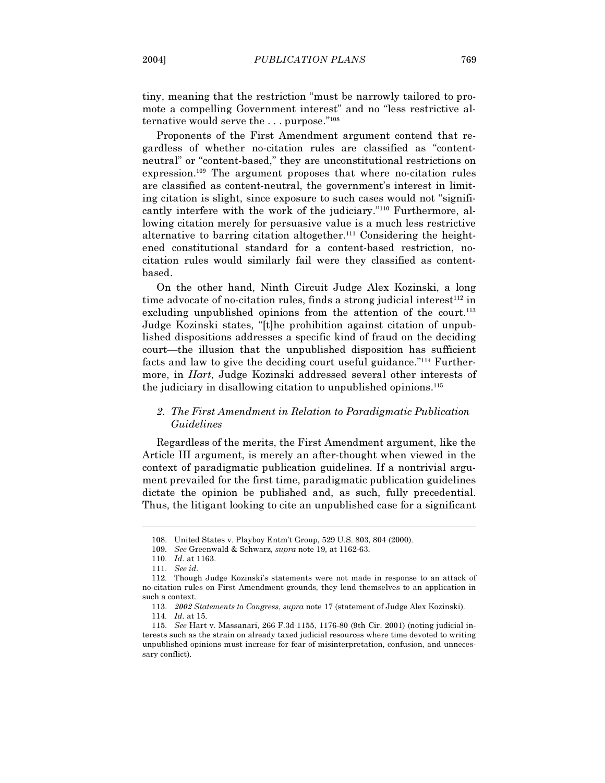tiny, meaning that the restriction "must be narrowly tailored to promote a compelling Government interest" and no "less restrictive alternative would serve the . . . purpose."<sup>108</sup>

 Proponents of the First Amendment argument contend that regardless of whether no-citation rules are classified as "contentneutral" or "content-based," they are unconstitutional restrictions on expression.<sup>109</sup> The argument proposes that where no-citation rules are classified as content-neutral, the government's interest in limiting citation is slight, since exposure to such cases would not "significantly interfere with the work of the judiciary."110 Furthermore, allowing citation merely for persuasive value is a much less restrictive alternative to barring citation altogether.<sup>111</sup> Considering the heightened constitutional standard for a content-based restriction, nocitation rules would similarly fail were they classified as contentbased.

 On the other hand, Ninth Circuit Judge Alex Kozinski, a long time advocate of no-citation rules, finds a strong judicial interest<sup> $112$ </sup> in excluding unpublished opinions from the attention of the court. $113$ Judge Kozinski states, "[t]he prohibition against citation of unpublished dispositions addresses a specific kind of fraud on the deciding court—the illusion that the unpublished disposition has sufficient facts and law to give the deciding court useful guidance."114 Furthermore, in Hart, Judge Kozinski addressed several other interests of the judiciary in disallowing citation to unpublished opinions.<sup>115</sup>

## 2. The First Amendment in Relation to Paradigmatic Publication Guidelines

 Regardless of the merits, the First Amendment argument, like the Article III argument, is merely an after-thought when viewed in the context of paradigmatic publication guidelines. If a nontrivial argument prevailed for the first time, paradigmatic publication guidelines dictate the opinion be published and, as such, fully precedential. Thus, the litigant looking to cite an unpublished case for a significant

 <sup>108.</sup> United States v. Playboy Entm't Group, 529 U.S. 803, 804 (2000).

 <sup>109.</sup> See Greenwald & Schwarz, supra note 19, at 1162-63.

 <sup>110.</sup> Id. at 1163.

 <sup>111.</sup> See id.

 <sup>112.</sup> Though Judge Kozinski's statements were not made in response to an attack of no-citation rules on First Amendment grounds, they lend themselves to an application in such a context.

 <sup>113.</sup> 2002 Statements to Congress, supra note 17 (statement of Judge Alex Kozinski).

 <sup>114.</sup> Id. at 15.

 <sup>115.</sup> See Hart v. Massanari, 266 F.3d 1155, 1176-80 (9th Cir. 2001) (noting judicial interests such as the strain on already taxed judicial resources where time devoted to writing unpublished opinions must increase for fear of misinterpretation, confusion, and unnecessary conflict).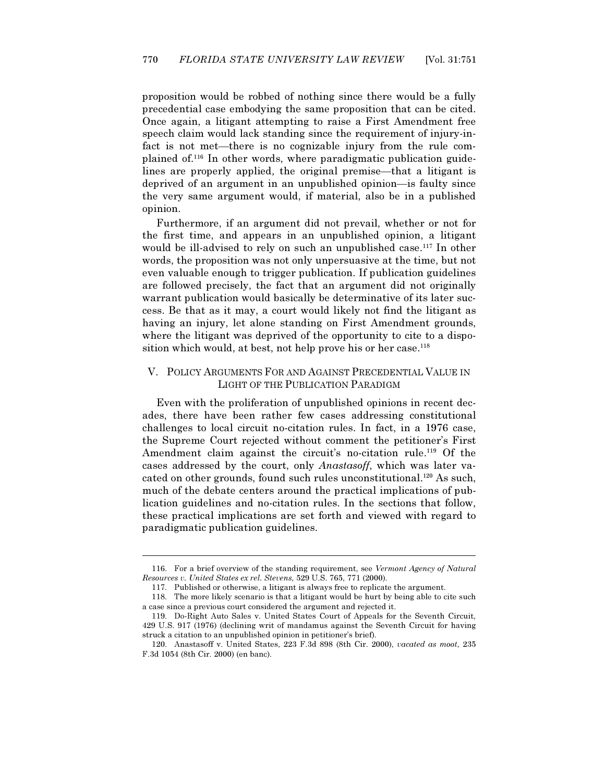proposition would be robbed of nothing since there would be a fully precedential case embodying the same proposition that can be cited. Once again, a litigant attempting to raise a First Amendment free speech claim would lack standing since the requirement of injury-infact is not met—there is no cognizable injury from the rule complained of.116 In other words, where paradigmatic publication guidelines are properly applied, the original premise—that a litigant is deprived of an argument in an unpublished opinion—is faulty since the very same argument would, if material, also be in a published opinion.

 Furthermore, if an argument did not prevail, whether or not for the first time, and appears in an unpublished opinion, a litigant would be ill-advised to rely on such an unpublished case.<sup>117</sup> In other words, the proposition was not only unpersuasive at the time, but not even valuable enough to trigger publication. If publication guidelines are followed precisely, the fact that an argument did not originally warrant publication would basically be determinative of its later success. Be that as it may, a court would likely not find the litigant as having an injury, let alone standing on First Amendment grounds, where the litigant was deprived of the opportunity to cite to a disposition which would, at best, not help prove his or her case.<sup>118</sup>

# V. POLICY ARGUMENTS FOR AND AGAINST PRECEDENTIAL VALUE IN LIGHT OF THE PUBLICATION PARADIGM

 Even with the proliferation of unpublished opinions in recent decades, there have been rather few cases addressing constitutional challenges to local circuit no-citation rules. In fact, in a 1976 case, the Supreme Court rejected without comment the petitioner's First Amendment claim against the circuit's no-citation rule.<sup>119</sup> Of the cases addressed by the court, only Anastasoff, which was later vacated on other grounds, found such rules unconstitutional.<sup>120</sup> As such, much of the debate centers around the practical implications of publication guidelines and no-citation rules. In the sections that follow, these practical implications are set forth and viewed with regard to paradigmatic publication guidelines.

 <sup>116.</sup> For a brief overview of the standing requirement, see Vermont Agency of Natural Resources v. United States ex rel. Stevens, 529 U.S. 765, 771 (2000).

 <sup>117.</sup> Published or otherwise, a litigant is always free to replicate the argument.

 <sup>118.</sup> The more likely scenario is that a litigant would be hurt by being able to cite such a case since a previous court considered the argument and rejected it.

 <sup>119.</sup> Do-Right Auto Sales v. United States Court of Appeals for the Seventh Circuit, 429 U.S. 917 (1976) (declining writ of mandamus against the Seventh Circuit for having struck a citation to an unpublished opinion in petitioner's brief).

 <sup>120.</sup> Anastasoff v. United States, 223 F.3d 898 (8th Cir. 2000), vacated as moot, 235 F.3d 1054 (8th Cir. 2000) (en banc).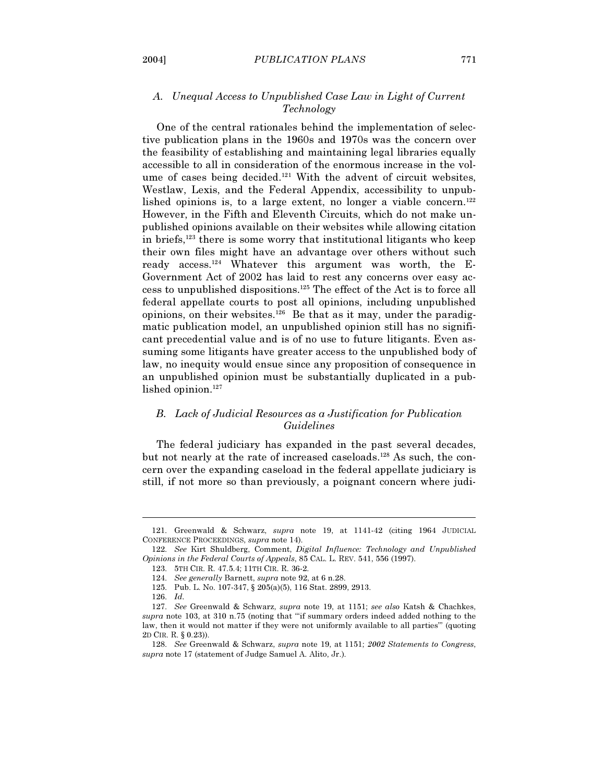# A. Unequal Access to Unpublished Case Law in Light of Current Technology

 One of the central rationales behind the implementation of selective publication plans in the 1960s and 1970s was the concern over the feasibility of establishing and maintaining legal libraries equally accessible to all in consideration of the enormous increase in the volume of cases being decided.<sup>121</sup> With the advent of circuit websites, Westlaw, Lexis, and the Federal Appendix, accessibility to unpublished opinions is, to a large extent, no longer a viable concern.<sup>122</sup> However, in the Fifth and Eleventh Circuits, which do not make unpublished opinions available on their websites while allowing citation in briefs,<sup>123</sup> there is some worry that institutional litigants who keep their own files might have an advantage over others without such ready access.124 Whatever this argument was worth, the E-Government Act of 2002 has laid to rest any concerns over easy access to unpublished dispositions.<sup>125</sup> The effect of the Act is to force all federal appellate courts to post all opinions, including unpublished opinions, on their websites.<sup>126</sup> Be that as it may, under the paradigmatic publication model, an unpublished opinion still has no significant precedential value and is of no use to future litigants. Even assuming some litigants have greater access to the unpublished body of law, no inequity would ensue since any proposition of consequence in an unpublished opinion must be substantially duplicated in a published opinion.<sup>127</sup>

# B. Lack of Judicial Resources as a Justification for Publication Guidelines

 The federal judiciary has expanded in the past several decades, but not nearly at the rate of increased caseloads.128 As such, the concern over the expanding caseload in the federal appellate judiciary is still, if not more so than previously, a poignant concern where judi-

- 125. Pub. L. No. 107-347, § 205(a)(5), 116 Stat. 2899, 2913.
- 126. Id.

 <sup>121.</sup> Greenwald & Schwarz, supra note 19, at 1141-42 (citing 1964 JUDICIAL CONFERENCE PROCEEDINGS, supra note 14).

 <sup>122.</sup> See Kirt Shuldberg, Comment, Digital Influence: Technology and Unpublished Opinions in the Federal Courts of Appeals, 85 CAL. L. REV. 541, 556 (1997).

 <sup>123. 5</sup>TH CIR. R. 47.5.4; 11TH CIR. R. 36-2.

 <sup>124.</sup> See generally Barnett, supra note 92, at 6 n.28.

 <sup>127.</sup> See Greenwald & Schwarz, supra note 19, at 1151; see also Katsh & Chachkes, supra note 103, at 310 n.75 (noting that "if summary orders indeed added nothing to the law, then it would not matter if they were not uniformly available to all parties'" (quoting 2D CIR. R. § 0.23)).

 <sup>128.</sup> See Greenwald & Schwarz, supra note 19, at 1151; 2002 Statements to Congress, supra note 17 (statement of Judge Samuel A. Alito, Jr.).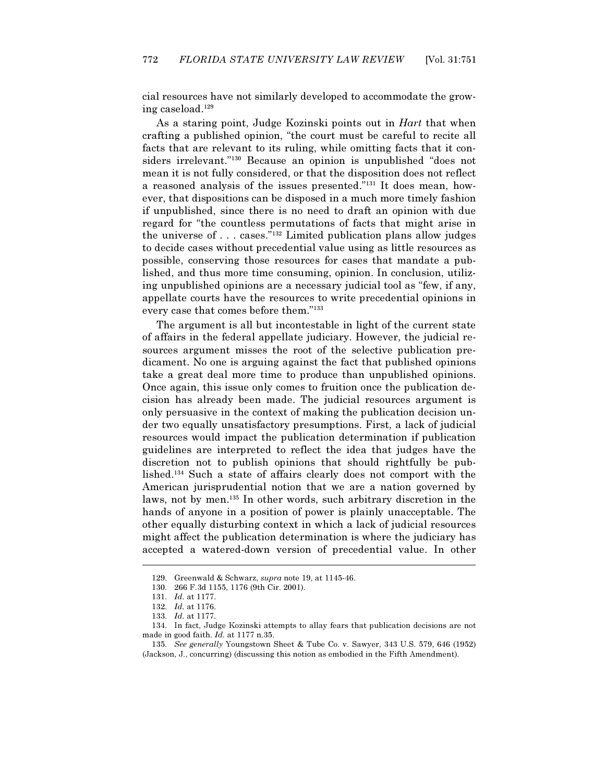cial resources have not similarly developed to accommodate the growing caseload.<sup>129</sup>

 As a staring point, Judge Kozinski points out in Hart that when crafting a published opinion, "the court must be careful to recite all facts that are relevant to its ruling, while omitting facts that it considers irrelevant."<sup>130</sup> Because an opinion is unpublished "does not mean it is not fully considered, or that the disposition does not reflect a reasoned analysis of the issues presented."131 It does mean, however, that dispositions can be disposed in a much more timely fashion if unpublished, since there is no need to draft an opinion with due regard for "the countless permutations of facts that might arise in the universe of . . . cases."<sup>132</sup> Limited publication plans allow judges to decide cases without precedential value using as little resources as possible, conserving those resources for cases that mandate a published, and thus more time consuming, opinion. In conclusion, utilizing unpublished opinions are a necessary judicial tool as "few, if any, appellate courts have the resources to write precedential opinions in every case that comes before them."<sup>133</sup>

 The argument is all but incontestable in light of the current state of affairs in the federal appellate judiciary. However, the judicial resources argument misses the root of the selective publication predicament. No one is arguing against the fact that published opinions take a great deal more time to produce than unpublished opinions. Once again, this issue only comes to fruition once the publication decision has already been made. The judicial resources argument is only persuasive in the context of making the publication decision under two equally unsatisfactory presumptions. First, a lack of judicial resources would impact the publication determination if publication guidelines are interpreted to reflect the idea that judges have the discretion not to publish opinions that should rightfully be published.<sup>134</sup> Such a state of affairs clearly does not comport with the American jurisprudential notion that we are a nation governed by laws, not by men.<sup>135</sup> In other words, such arbitrary discretion in the hands of anyone in a position of power is plainly unacceptable. The other equally disturbing context in which a lack of judicial resources might affect the publication determination is where the judiciary has accepted a watered-down version of precedential value. In other

 <sup>129.</sup> Greenwald & Schwarz, supra note 19, at 1145-46.

 <sup>130. 266</sup> F.3d 1155, 1176 (9th Cir. 2001).

 <sup>131.</sup> Id. at 1177.

 <sup>132.</sup> Id. at 1176.

 <sup>133.</sup> Id. at 1177.

 <sup>134.</sup> In fact, Judge Kozinski attempts to allay fears that publication decisions are not made in good faith. Id. at 1177 n.35.

 <sup>135.</sup> See generally Youngstown Sheet & Tube Co. v. Sawyer, 343 U.S. 579, 646 (1952) (Jackson, J., concurring) (discussing this notion as embodied in the Fifth Amendment).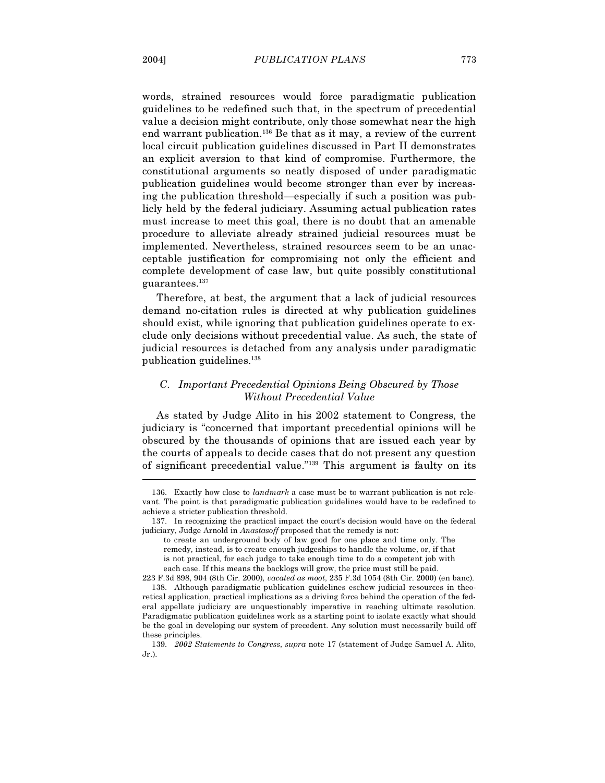words, strained resources would force paradigmatic publication guidelines to be redefined such that, in the spectrum of precedential value a decision might contribute, only those somewhat near the high end warrant publication.<sup>136</sup> Be that as it may, a review of the current local circuit publication guidelines discussed in Part II demonstrates an explicit aversion to that kind of compromise. Furthermore, the constitutional arguments so neatly disposed of under paradigmatic publication guidelines would become stronger than ever by increasing the publication threshold—especially if such a position was publicly held by the federal judiciary. Assuming actual publication rates must increase to meet this goal, there is no doubt that an amenable procedure to alleviate already strained judicial resources must be implemented. Nevertheless, strained resources seem to be an unacceptable justification for compromising not only the efficient and

 Therefore, at best, the argument that a lack of judicial resources demand no-citation rules is directed at why publication guidelines should exist, while ignoring that publication guidelines operate to exclude only decisions without precedential value. As such, the state of judicial resources is detached from any analysis under paradigmatic publication guidelines.<sup>138</sup>

complete development of case law, but quite possibly constitutional

# C. Important Precedential Opinions Being Obscured by Those Without Precedential Value

 As stated by Judge Alito in his 2002 statement to Congress, the judiciary is "concerned that important precedential opinions will be obscured by the thousands of opinions that are issued each year by the courts of appeals to decide cases that do not present any question of significant precedential value."<sup>139</sup> This argument is faulty on its

guarantees.<sup>137</sup>

 <sup>136.</sup> Exactly how close to landmark a case must be to warrant publication is not relevant. The point is that paradigmatic publication guidelines would have to be redefined to achieve a stricter publication threshold.

 <sup>137.</sup> In recognizing the practical impact the court's decision would have on the federal judiciary, Judge Arnold in Anastasoff proposed that the remedy is not:

to create an underground body of law good for one place and time only. The remedy, instead, is to create enough judgeships to handle the volume, or, if that is not practical, for each judge to take enough time to do a competent job with each case. If this means the backlogs will grow, the price must still be paid.

<sup>223</sup> F.3d 898, 904 (8th Cir. 2000), vacated as moot, 235 F.3d 1054 (8th Cir. 2000) (en banc). 138. Although paradigmatic publication guidelines eschew judicial resources in theoretical application, practical implications as a driving force behind the operation of the federal appellate judiciary are unquestionably imperative in reaching ultimate resolution. Paradigmatic publication guidelines work as a starting point to isolate exactly what should be the goal in developing our system of precedent. Any solution must necessarily build off these principles.

 <sup>139.</sup> 2002 Statements to Congress, supra note 17 (statement of Judge Samuel A. Alito, Jr.).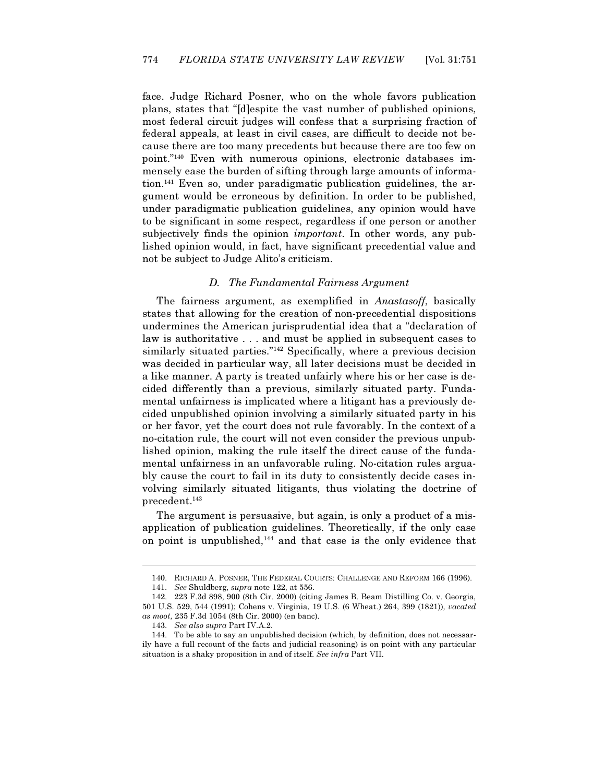face. Judge Richard Posner, who on the whole favors publication plans, states that "[d]espite the vast number of published opinions, most federal circuit judges will confess that a surprising fraction of federal appeals, at least in civil cases, are difficult to decide not because there are too many precedents but because there are too few on point."140 Even with numerous opinions, electronic databases immensely ease the burden of sifting through large amounts of information.141 Even so, under paradigmatic publication guidelines, the argument would be erroneous by definition. In order to be published, under paradigmatic publication guidelines, any opinion would have to be significant in some respect, regardless if one person or another subjectively finds the opinion *important*. In other words, any published opinion would, in fact, have significant precedential value and not be subject to Judge Alito's criticism.

### D. The Fundamental Fairness Argument

 The fairness argument, as exemplified in Anastasoff, basically states that allowing for the creation of non-precedential dispositions undermines the American jurisprudential idea that a "declaration of law is authoritative . . . and must be applied in subsequent cases to similarly situated parties."<sup>142</sup> Specifically, where a previous decision was decided in particular way, all later decisions must be decided in a like manner. A party is treated unfairly where his or her case is decided differently than a previous, similarly situated party. Fundamental unfairness is implicated where a litigant has a previously decided unpublished opinion involving a similarly situated party in his or her favor, yet the court does not rule favorably. In the context of a no-citation rule, the court will not even consider the previous unpublished opinion, making the rule itself the direct cause of the fundamental unfairness in an unfavorable ruling. No-citation rules arguably cause the court to fail in its duty to consistently decide cases involving similarly situated litigants, thus violating the doctrine of precedent.<sup>143</sup>

 The argument is persuasive, but again, is only a product of a misapplication of publication guidelines. Theoretically, if the only case on point is unpublished,<sup>144</sup> and that case is the only evidence that

 <sup>140.</sup> RICHARD A. POSNER, THE FEDERAL COURTS: CHALLENGE AND REFORM 166 (1996).

 <sup>141.</sup> See Shuldberg, supra note 122, at 556.

 <sup>142. 223</sup> F.3d 898, 900 (8th Cir. 2000) (citing James B. Beam Distilling Co. v. Georgia, 501 U.S. 529, 544 (1991); Cohens v. Virginia, 19 U.S. (6 Wheat.) 264, 399 (1821)), vacated as moot, 235 F.3d 1054 (8th Cir. 2000) (en banc).

 <sup>143.</sup> See also supra Part IV.A.2.

 <sup>144.</sup> To be able to say an unpublished decision (which, by definition, does not necessarily have a full recount of the facts and judicial reasoning) is on point with any particular situation is a shaky proposition in and of itself. See infra Part VII.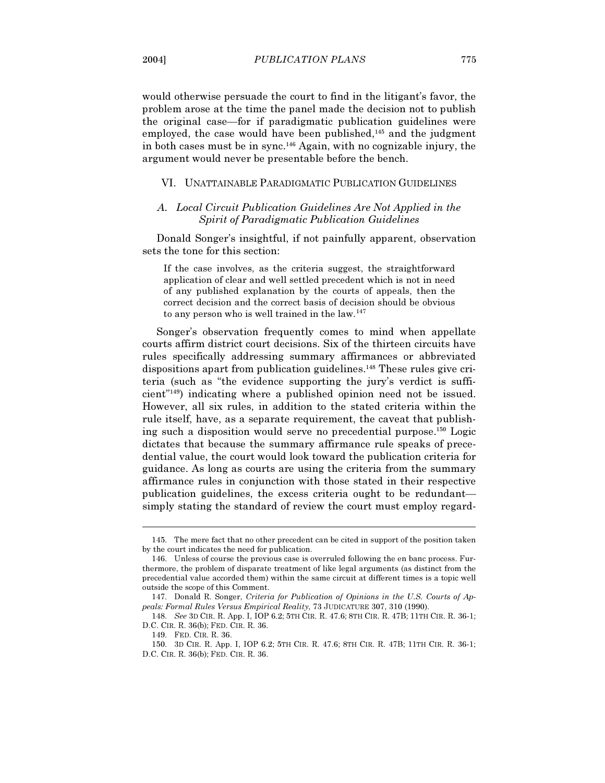would otherwise persuade the court to find in the litigant's favor, the problem arose at the time the panel made the decision not to publish the original case—for if paradigmatic publication guidelines were employed, the case would have been published,<sup>145</sup> and the judgment in both cases must be in sync.<sup>146</sup> Again, with no cognizable injury, the argument would never be presentable before the bench.

# VI. UNATTAINABLE PARADIGMATIC PUBLICATION GUIDELINES

# A. Local Circuit Publication Guidelines Are Not Applied in the Spirit of Paradigmatic Publication Guidelines

 Donald Songer's insightful, if not painfully apparent, observation sets the tone for this section:

If the case involves, as the criteria suggest, the straightforward application of clear and well settled precedent which is not in need of any published explanation by the courts of appeals, then the correct decision and the correct basis of decision should be obvious to any person who is well trained in the law. $147$ 

 Songer's observation frequently comes to mind when appellate courts affirm district court decisions. Six of the thirteen circuits have rules specifically addressing summary affirmances or abbreviated dispositions apart from publication guidelines.148 These rules give criteria (such as "the evidence supporting the jury's verdict is sufficient"<sup>149</sup>) indicating where a published opinion need not be issued. However, all six rules, in addition to the stated criteria within the rule itself, have, as a separate requirement, the caveat that publishing such a disposition would serve no precedential purpose.<sup>150</sup> Logic dictates that because the summary affirmance rule speaks of precedential value, the court would look toward the publication criteria for guidance. As long as courts are using the criteria from the summary affirmance rules in conjunction with those stated in their respective publication guidelines, the excess criteria ought to be redundant simply stating the standard of review the court must employ regard-

 <sup>145.</sup> The mere fact that no other precedent can be cited in support of the position taken by the court indicates the need for publication.

 <sup>146.</sup> Unless of course the previous case is overruled following the en banc process. Furthermore, the problem of disparate treatment of like legal arguments (as distinct from the precedential value accorded them) within the same circuit at different times is a topic well outside the scope of this Comment.

 <sup>147.</sup> Donald R. Songer, Criteria for Publication of Opinions in the U.S. Courts of Appeals: Formal Rules Versus Empirical Reality, 73 JUDICATURE 307, 310 (1990).

 <sup>148.</sup> See 3D CIR. R. App. I, IOP 6.2; 5TH CIR. R. 47.6; 8TH CIR. R. 47B; 11TH CIR. R. 36-1; D.C. CIR. R. 36(b); FED. CIR. R. 36.

 <sup>149.</sup> FED. CIR. R. 36.

 <sup>150. 3</sup>D CIR. R. App. I, IOP 6.2; 5TH CIR. R. 47.6; 8TH CIR. R. 47B; 11TH CIR. R. 36-1; D.C. CIR. R. 36(b); FED. CIR. R. 36.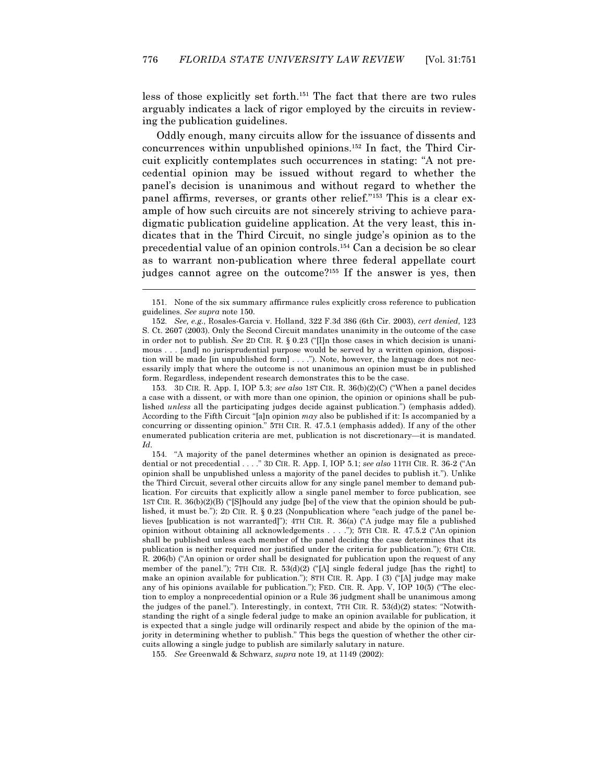less of those explicitly set forth.<sup>151</sup> The fact that there are two rules arguably indicates a lack of rigor employed by the circuits in reviewing the publication guidelines.

 Oddly enough, many circuits allow for the issuance of dissents and concurrences within unpublished opinions.152 In fact, the Third Circuit explicitly contemplates such occurrences in stating: "A not precedential opinion may be issued without regard to whether the panel's decision is unanimous and without regard to whether the panel affirms, reverses, or grants other relief."153 This is a clear example of how such circuits are not sincerely striving to achieve paradigmatic publication guideline application. At the very least, this indicates that in the Third Circuit, no single judge's opinion as to the precedential value of an opinion controls.<sup>154</sup> Can a decision be so clear as to warrant non-publication where three federal appellate court judges cannot agree on the outcome?<sup>155</sup> If the answer is yes, then

 $\overline{a}$ 

 153. 3D CIR. R. App. I, IOP 5.3; see also 1ST CIR. R. 36(b)(2)(C) ("When a panel decides a case with a dissent, or with more than one opinion, the opinion or opinions shall be published unless all the participating judges decide against publication.") (emphasis added). According to the Fifth Circuit "[a]n opinion may also be published if it: Is accompanied by a concurring or dissenting opinion." 5TH CIR. R. 47.5.1 (emphasis added). If any of the other enumerated publication criteria are met, publication is not discretionary—it is mandated. Id.

 154. "A majority of the panel determines whether an opinion is designated as precedential or not precedential . . . . " 3D CIR. R. App. I, IOP 5.1; see also 11TH CIR. R. 36-2 ("An opinion shall be unpublished unless a majority of the panel decides to publish it."). Unlike the Third Circuit, several other circuits allow for any single panel member to demand publication. For circuits that explicitly allow a single panel member to force publication, see 1ST CIR. R. 36(b)(2)(B) ("[S]hould any judge [be] of the view that the opinion should be published, it must be."); 2D CIR. R. § 0.23 (Nonpublication where "each judge of the panel believes [publication is not warranted]"); 4TH CIR. R. 36(a) ("A judge may file a published opinion without obtaining all acknowledgements . . . ."); 5TH CIR. R. 47.5.2 ("An opinion shall be published unless each member of the panel deciding the case determines that its publication is neither required nor justified under the criteria for publication."); 6TH CIR. R. 206(b) ("An opinion or order shall be designated for publication upon the request of any member of the panel."); 7TH CIR. R.  $53(d)(2)$  ("[A] single federal judge [has the right] to make an opinion available for publication."); 8TH CIR. R. App. I (3) ("[A] judge may make any of his opinions available for publication."); FED. CIR. R. App. V, IOP 10(5) ("The election to employ a nonprecedential opinion or a Rule 36 judgment shall be unanimous among the judges of the panel."). Interestingly, in context,  $7TH$  CIR. R.  $53(d)(2)$  states: "Notwithstanding the right of a single federal judge to make an opinion available for publication, it is expected that a single judge will ordinarily respect and abide by the opinion of the majority in determining whether to publish." This begs the question of whether the other circuits allowing a single judge to publish are similarly salutary in nature.

155. See Greenwald & Schwarz, supra note 19, at 1149 (2002):

 <sup>151.</sup> None of the six summary affirmance rules explicitly cross reference to publication guidelines. See supra note 150.

 <sup>152.</sup> See, e.g., Rosales-Garcia v. Holland, 322 F.3d 386 (6th Cir. 2003), cert denied, 123 S. Ct. 2607 (2003). Only the Second Circuit mandates unanimity in the outcome of the case in order not to publish. See 2D CIR. R. § 0.23 ("[I]n those cases in which decision is unanimous . . . [and] no jurisprudential purpose would be served by a written opinion, disposition will be made [in unpublished form] . . . ."). Note, however, the language does not necessarily imply that where the outcome is not unanimous an opinion must be in published form. Regardless, independent research demonstrates this to be the case.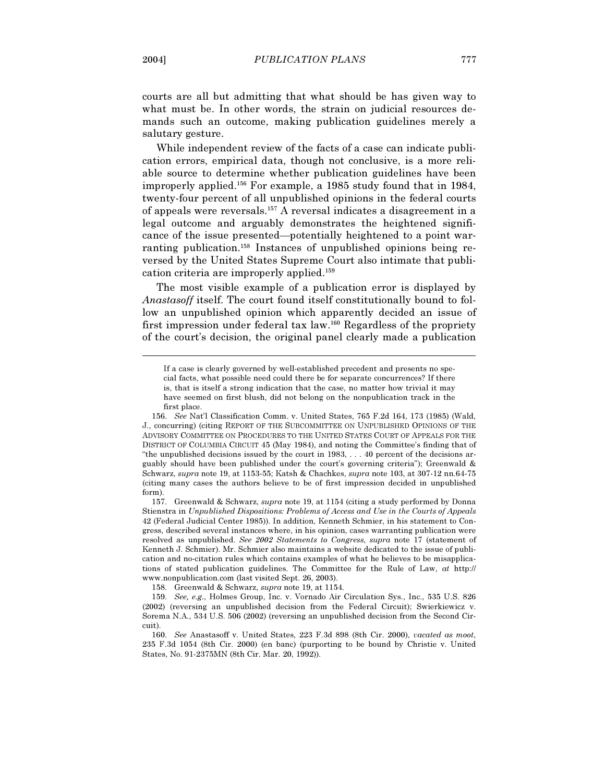courts are all but admitting that what should be has given way to what must be. In other words, the strain on judicial resources demands such an outcome, making publication guidelines merely a salutary gesture.

 While independent review of the facts of a case can indicate publication errors, empirical data, though not conclusive, is a more reliable source to determine whether publication guidelines have been improperly applied.<sup>156</sup> For example, a 1985 study found that in 1984, twenty-four percent of all unpublished opinions in the federal courts of appeals were reversals.<sup>157</sup> A reversal indicates a disagreement in a legal outcome and arguably demonstrates the heightened significance of the issue presented—potentially heightened to a point warranting publication.<sup>158</sup> Instances of unpublished opinions being reversed by the United States Supreme Court also intimate that publication criteria are improperly applied.<sup>159</sup>

 The most visible example of a publication error is displayed by Anastasoff itself. The court found itself constitutionally bound to follow an unpublished opinion which apparently decided an issue of first impression under federal tax law.<sup>160</sup> Regardless of the propriety of the court's decision, the original panel clearly made a publication

158. Greenwald & Schwarz, supra note 19, at 1154.

If a case is clearly governed by well-established precedent and presents no special facts, what possible need could there be for separate concurrences? If there is, that is itself a strong indication that the case, no matter how trivial it may have seemed on first blush, did not belong on the nonpublication track in the first place.

 <sup>156.</sup> See Nat'l Classification Comm. v. United States, 765 F.2d 164, 173 (1985) (Wald, J., concurring) (citing REPORT OF THE SUBCOMMITTEE ON UNPUBLISHED OPINIONS OF THE ADVISORY COMMITTEE ON PROCEDURES TO THE UNITED STATES COURT OF APPEALS FOR THE DISTRICT OF COLUMBIA CIRCUIT 45 (May 1984), and noting the Committee's finding that of "the unpublished decisions issued by the court in 1983, . . . 40 percent of the decisions arguably should have been published under the court's governing criteria"); Greenwald & Schwarz, supra note 19, at 1153-55; Katsh & Chachkes, supra note 103, at 307-12 nn.64-75 (citing many cases the authors believe to be of first impression decided in unpublished form).

 <sup>157.</sup> Greenwald & Schwarz, supra note 19, at 1154 (citing a study performed by Donna Stienstra in Unpublished Dispositions: Problems of Access and Use in the Courts of Appeals 42 (Federal Judicial Center 1985)). In addition, Kenneth Schmier, in his statement to Congress, described several instances where, in his opinion, cases warranting publication were resolved as unpublished. See 2002 Statements to Congress, supra note 17 (statement of Kenneth J. Schmier). Mr. Schmier also maintains a website dedicated to the issue of publication and no-citation rules which contains examples of what he believes to be misapplications of stated publication guidelines. The Committee for the Rule of Law, at http:// www.nonpublication.com (last visited Sept. 26, 2003).

 <sup>159.</sup> See, e.g., Holmes Group, Inc. v. Vornado Air Circulation Sys., Inc., 535 U.S. 826 (2002) (reversing an unpublished decision from the Federal Circuit); Swierkiewicz v. Sorema N.A., 534 U.S. 506 (2002) (reversing an unpublished decision from the Second Circuit).

 <sup>160.</sup> See Anastasoff v. United States, 223 F.3d 898 (8th Cir. 2000), vacated as moot, 235 F.3d 1054 (8th Cir. 2000) (en banc) (purporting to be bound by Christie v. United States, No. 91-2375MN (8th Cir. Mar. 20, 1992)).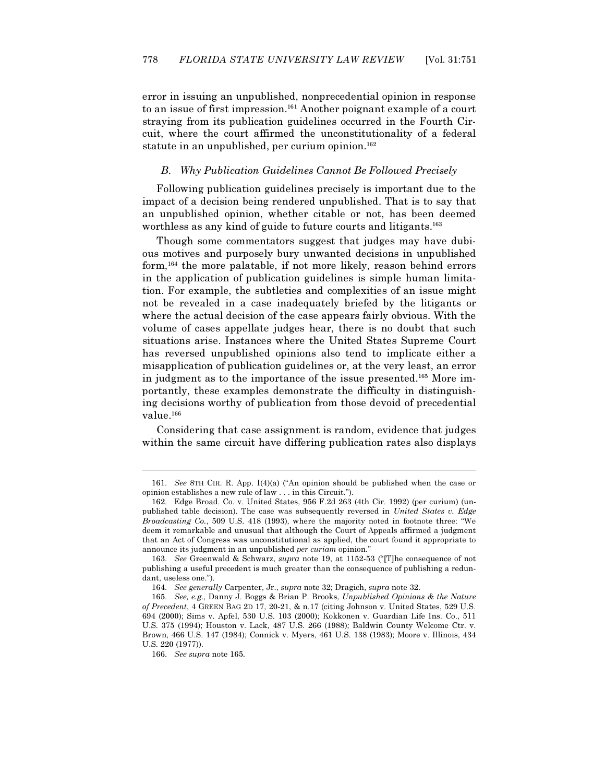error in issuing an unpublished, nonprecedential opinion in response to an issue of first impression.<sup>161</sup> Another poignant example of a court straying from its publication guidelines occurred in the Fourth Circuit, where the court affirmed the unconstitutionality of a federal statute in an unpublished, per curium opinion.<sup>162</sup>

#### B. Why Publication Guidelines Cannot Be Followed Precisely

 Following publication guidelines precisely is important due to the impact of a decision being rendered unpublished. That is to say that an unpublished opinion, whether citable or not, has been deemed worthless as any kind of guide to future courts and litigants.<sup>163</sup>

 Though some commentators suggest that judges may have dubious motives and purposely bury unwanted decisions in unpublished form,<sup>164</sup> the more palatable, if not more likely, reason behind errors in the application of publication guidelines is simple human limitation. For example, the subtleties and complexities of an issue might not be revealed in a case inadequately briefed by the litigants or where the actual decision of the case appears fairly obvious. With the volume of cases appellate judges hear, there is no doubt that such situations arise. Instances where the United States Supreme Court has reversed unpublished opinions also tend to implicate either a misapplication of publication guidelines or, at the very least, an error in judgment as to the importance of the issue presented.165 More importantly, these examples demonstrate the difficulty in distinguishing decisions worthy of publication from those devoid of precedential value.<sup>166</sup>

 Considering that case assignment is random, evidence that judges within the same circuit have differing publication rates also displays

 <sup>161.</sup> See 8TH CIR. R. App. I(4)(a) ("An opinion should be published when the case or opinion establishes a new rule of law . . . in this Circuit.").

 <sup>162.</sup> Edge Broad. Co. v. United States, 956 F.2d 263 (4th Cir. 1992) (per curium) (unpublished table decision). The case was subsequently reversed in United States v. Edge Broadcasting Co., 509 U.S. 418 (1993), where the majority noted in footnote three: "We deem it remarkable and unusual that although the Court of Appeals affirmed a judgment that an Act of Congress was unconstitutional as applied, the court found it appropriate to announce its judgment in an unpublished per curiam opinion."

 <sup>163.</sup> See Greenwald & Schwarz, supra note 19, at 1152-53 ("[T]he consequence of not publishing a useful precedent is much greater than the consequence of publishing a redundant, useless one.").

 <sup>164.</sup> See generally Carpenter, Jr., supra note 32; Dragich, supra note 32.

 <sup>165.</sup> See, e.g., Danny J. Boggs & Brian P. Brooks, Unpublished Opinions & the Nature of Precedent, 4 GREEN BAG 2D 17, 20-21, & n.17 (citing Johnson v. United States, 529 U.S. 694 (2000); Sims v. Apfel, 530 U.S. 103 (2000); Kokkonen v. Guardian Life Ins. Co., 511 U.S. 375 (1994); Houston v. Lack, 487 U.S. 266 (1988); Baldwin County Welcome Ctr. v. Brown, 466 U.S. 147 (1984); Connick v. Myers, 461 U.S. 138 (1983); Moore v. Illinois, 434 U.S. 220 (1977)).

 <sup>166.</sup> See supra note 165.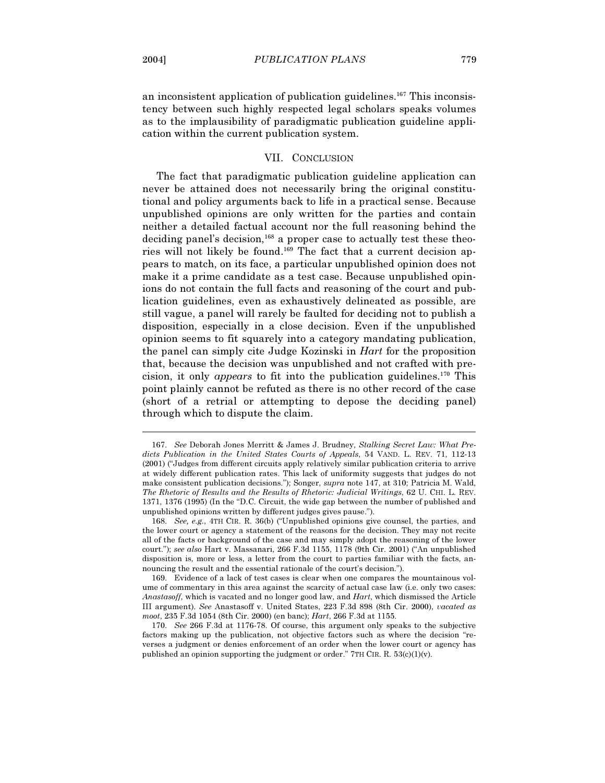$\overline{a}$ 

an inconsistent application of publication guidelines.167 This inconsistency between such highly respected legal scholars speaks volumes as to the implausibility of paradigmatic publication guideline application within the current publication system.

# VII. CONCLUSION

 The fact that paradigmatic publication guideline application can never be attained does not necessarily bring the original constitutional and policy arguments back to life in a practical sense. Because unpublished opinions are only written for the parties and contain neither a detailed factual account nor the full reasoning behind the deciding panel's decision,<sup>168</sup> a proper case to actually test these theories will not likely be found.169 The fact that a current decision appears to match, on its face, a particular unpublished opinion does not make it a prime candidate as a test case. Because unpublished opinions do not contain the full facts and reasoning of the court and publication guidelines, even as exhaustively delineated as possible, are still vague, a panel will rarely be faulted for deciding not to publish a disposition, especially in a close decision. Even if the unpublished opinion seems to fit squarely into a category mandating publication, the panel can simply cite Judge Kozinski in Hart for the proposition that, because the decision was unpublished and not crafted with precision, it only appears to fit into the publication guidelines.<sup>170</sup> This point plainly cannot be refuted as there is no other record of the case (short of a retrial or attempting to depose the deciding panel) through which to dispute the claim.

 <sup>167.</sup> See Deborah Jones Merritt & James J. Brudney, Stalking Secret Law: What Predicts Publication in the United States Courts of Appeals, 54 VAND. L. REV. 71, 112-13 (2001) ("Judges from different circuits apply relatively similar publication criteria to arrive at widely different publication rates. This lack of uniformity suggests that judges do not make consistent publication decisions."); Songer, supra note 147, at 310; Patricia M. Wald, The Rhetoric of Results and the Results of Rhetoric: Judicial Writings, 62 U. CHI. L. REV. 1371, 1376 (1995) (In the "D.C. Circuit, the wide gap between the number of published and unpublished opinions written by different judges gives pause.").

 <sup>168.</sup> See, e.g., 4TH CIR. R. 36(b) ("Unpublished opinions give counsel, the parties, and the lower court or agency a statement of the reasons for the decision. They may not recite all of the facts or background of the case and may simply adopt the reasoning of the lower court."); see also Hart v. Massanari, 266 F.3d 1155, 1178 (9th Cir. 2001) ("An unpublished disposition is, more or less, a letter from the court to parties familiar with the facts, announcing the result and the essential rationale of the court's decision.").

 <sup>169.</sup> Evidence of a lack of test cases is clear when one compares the mountainous volume of commentary in this area against the scarcity of actual case law (i.e. only two cases: Anastasoff, which is vacated and no longer good law, and Hart, which dismissed the Article III argument). See Anastasoff v. United States, 223 F.3d 898 (8th Cir. 2000), vacated as moot, 235 F.3d 1054 (8th Cir. 2000) (en banc); Hart, 266 F.3d at 1155.

 <sup>170.</sup> See 266 F.3d at 1176-78. Of course, this argument only speaks to the subjective factors making up the publication, not objective factors such as where the decision "reverses a judgment or denies enforcement of an order when the lower court or agency has published an opinion supporting the judgment or order." 7TH CIR. R.  $53(c)(1)(v)$ .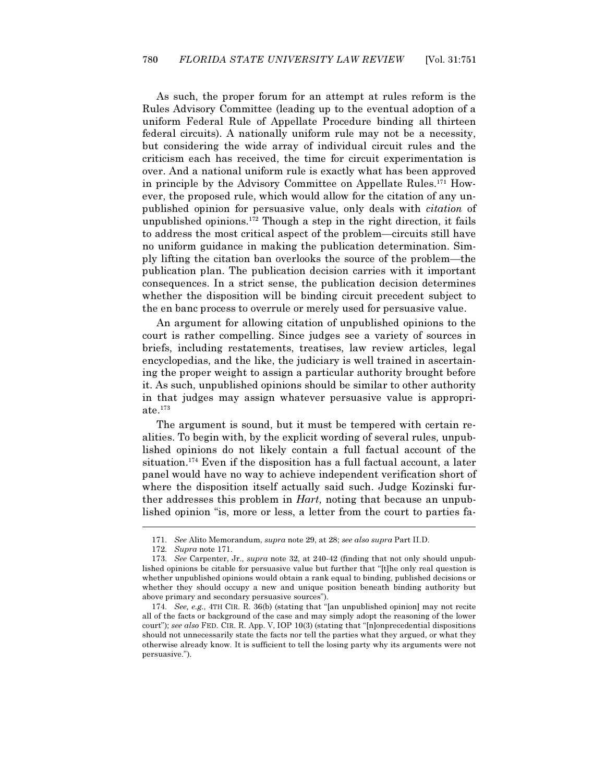As such, the proper forum for an attempt at rules reform is the Rules Advisory Committee (leading up to the eventual adoption of a uniform Federal Rule of Appellate Procedure binding all thirteen federal circuits). A nationally uniform rule may not be a necessity, but considering the wide array of individual circuit rules and the criticism each has received, the time for circuit experimentation is over. And a national uniform rule is exactly what has been approved in principle by the Advisory Committee on Appellate Rules.171 However, the proposed rule, which would allow for the citation of any unpublished opinion for persuasive value, only deals with citation of unpublished opinions.<sup>172</sup> Though a step in the right direction, it fails to address the most critical aspect of the problem—circuits still have no uniform guidance in making the publication determination. Simply lifting the citation ban overlooks the source of the problem—the publication plan. The publication decision carries with it important consequences. In a strict sense, the publication decision determines whether the disposition will be binding circuit precedent subject to the en banc process to overrule or merely used for persuasive value.

 An argument for allowing citation of unpublished opinions to the court is rather compelling. Since judges see a variety of sources in briefs, including restatements, treatises, law review articles, legal encyclopedias, and the like, the judiciary is well trained in ascertaining the proper weight to assign a particular authority brought before it. As such, unpublished opinions should be similar to other authority in that judges may assign whatever persuasive value is appropriate.<sup>173</sup>

 The argument is sound, but it must be tempered with certain realities. To begin with, by the explicit wording of several rules, unpublished opinions do not likely contain a full factual account of the situation.<sup>174</sup> Even if the disposition has a full factual account, a later panel would have no way to achieve independent verification short of where the disposition itself actually said such. Judge Kozinski further addresses this problem in Hart, noting that because an unpublished opinion "is, more or less, a letter from the court to parties fa-

 <sup>171.</sup> See Alito Memorandum, supra note 29, at 28; see also supra Part II.D.

 <sup>172.</sup> Supra note 171.

<sup>173.</sup> See Carpenter, Jr., *supra* note 32, at 240-42 (finding that not only should unpublished opinions be citable for persuasive value but further that "[t]he only real question is whether unpublished opinions would obtain a rank equal to binding, published decisions or whether they should occupy a new and unique position beneath binding authority but above primary and secondary persuasive sources").

 <sup>174.</sup> See, e.g., 4TH CIR. R. 36(b) (stating that "[an unpublished opinion] may not recite all of the facts or background of the case and may simply adopt the reasoning of the lower court"); see also FED. CIR. R. App. V, IOP 10(3) (stating that "[n]onprecedential dispositions should not unnecessarily state the facts nor tell the parties what they argued, or what they otherwise already know. It is sufficient to tell the losing party why its arguments were not persuasive.").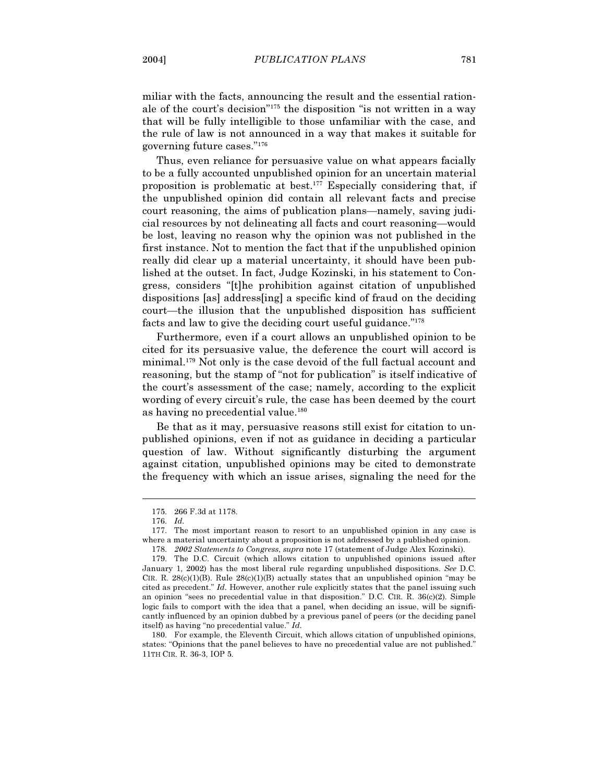miliar with the facts, announcing the result and the essential rationale of the court's decision"<sup>175</sup> the disposition "is not written in a way that will be fully intelligible to those unfamiliar with the case, and the rule of law is not announced in a way that makes it suitable for governing future cases."<sup>176</sup>

 Thus, even reliance for persuasive value on what appears facially to be a fully accounted unpublished opinion for an uncertain material proposition is problematic at best.<sup>177</sup> Especially considering that, if the unpublished opinion did contain all relevant facts and precise court reasoning, the aims of publication plans—namely, saving judicial resources by not delineating all facts and court reasoning—would be lost, leaving no reason why the opinion was not published in the first instance. Not to mention the fact that if the unpublished opinion really did clear up a material uncertainty, it should have been published at the outset. In fact, Judge Kozinski, in his statement to Congress, considers "[t]he prohibition against citation of unpublished dispositions [as] address[ing] a specific kind of fraud on the deciding court—the illusion that the unpublished disposition has sufficient facts and law to give the deciding court useful guidance."<sup>178</sup>

 Furthermore, even if a court allows an unpublished opinion to be cited for its persuasive value, the deference the court will accord is minimal.<sup>179</sup> Not only is the case devoid of the full factual account and reasoning, but the stamp of "not for publication" is itself indicative of the court's assessment of the case; namely, according to the explicit wording of every circuit's rule, the case has been deemed by the court as having no precedential value.<sup>180</sup>

 Be that as it may, persuasive reasons still exist for citation to unpublished opinions, even if not as guidance in deciding a particular question of law. Without significantly disturbing the argument against citation, unpublished opinions may be cited to demonstrate the frequency with which an issue arises, signaling the need for the

 $\overline{a}$ 

 180. For example, the Eleventh Circuit, which allows citation of unpublished opinions, states: "Opinions that the panel believes to have no precedential value are not published." 11TH CIR. R. 36-3, IOP 5.

 <sup>175. 266</sup> F.3d at 1178.

 <sup>176.</sup> Id.

 <sup>177.</sup> The most important reason to resort to an unpublished opinion in any case is where a material uncertainty about a proposition is not addressed by a published opinion.

 <sup>178.</sup> 2002 Statements to Congress, supra note 17 (statement of Judge Alex Kozinski).

 <sup>179.</sup> The D.C. Circuit (which allows citation to unpublished opinions issued after January 1, 2002) has the most liberal rule regarding unpublished dispositions. See D.C. CIR. R.  $28(c)(1)(B)$ . Rule  $28(c)(1)(B)$  actually states that an unpublished opinion "may be cited as precedent." Id. However, another rule explicitly states that the panel issuing such an opinion "sees no precedential value in that disposition." D.C. CIR. R.  $36(c)(2)$ . Simple logic fails to comport with the idea that a panel, when deciding an issue, will be significantly influenced by an opinion dubbed by a previous panel of peers (or the deciding panel itself) as having "no precedential value." Id.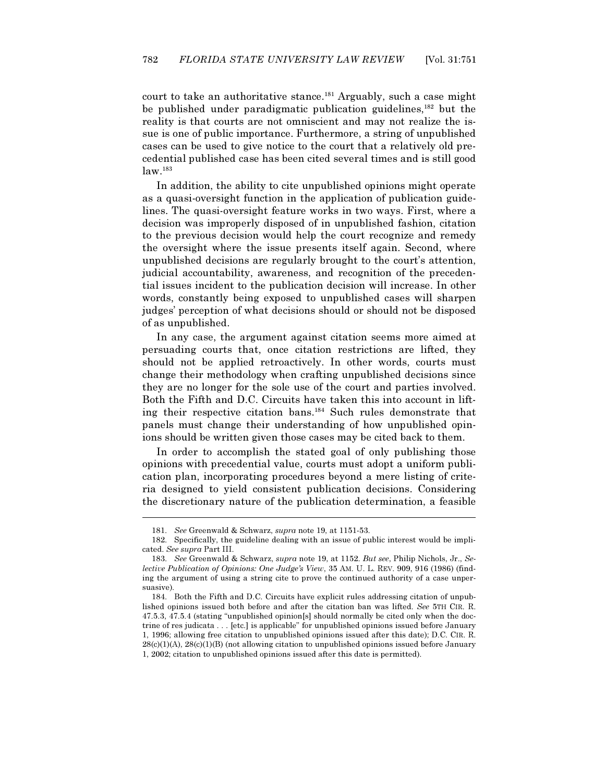court to take an authoritative stance.<sup>181</sup> Arguably, such a case might be published under paradigmatic publication guidelines,<sup>182</sup> but the reality is that courts are not omniscient and may not realize the issue is one of public importance. Furthermore, a string of unpublished cases can be used to give notice to the court that a relatively old precedential published case has been cited several times and is still good law.<sup>183</sup>

 In addition, the ability to cite unpublished opinions might operate as a quasi-oversight function in the application of publication guidelines. The quasi-oversight feature works in two ways. First, where a decision was improperly disposed of in unpublished fashion, citation to the previous decision would help the court recognize and remedy the oversight where the issue presents itself again. Second, where unpublished decisions are regularly brought to the court's attention, judicial accountability, awareness, and recognition of the precedential issues incident to the publication decision will increase. In other words, constantly being exposed to unpublished cases will sharpen judges' perception of what decisions should or should not be disposed of as unpublished.

 In any case, the argument against citation seems more aimed at persuading courts that, once citation restrictions are lifted, they should not be applied retroactively. In other words, courts must change their methodology when crafting unpublished decisions since they are no longer for the sole use of the court and parties involved. Both the Fifth and D.C. Circuits have taken this into account in lifting their respective citation bans.<sup>184</sup> Such rules demonstrate that panels must change their understanding of how unpublished opinions should be written given those cases may be cited back to them.

 In order to accomplish the stated goal of only publishing those opinions with precedential value, courts must adopt a uniform publication plan, incorporating procedures beyond a mere listing of criteria designed to yield consistent publication decisions. Considering the discretionary nature of the publication determination, a feasible

 <sup>181.</sup> See Greenwald & Schwarz, supra note 19, at 1151-53.

 <sup>182.</sup> Specifically, the guideline dealing with an issue of public interest would be implicated. See supra Part III.

 <sup>183.</sup> See Greenwald & Schwarz, supra note 19, at 1152. But see, Philip Nichols, Jr., Selective Publication of Opinions: One Judge's View, 35 AM. U. L. REV. 909, 916 (1986) (finding the argument of using a string cite to prove the continued authority of a case unpersuasive).

 <sup>184.</sup> Both the Fifth and D.C. Circuits have explicit rules addressing citation of unpublished opinions issued both before and after the citation ban was lifted. See 5TH CIR. R. 47.5.3, 47.5.4 (stating "unpublished opinion[s] should normally be cited only when the doctrine of res judicata . . . [etc.] is applicable" for unpublished opinions issued before January 1, 1996; allowing free citation to unpublished opinions issued after this date); D.C. CIR. R.  $28(c)(1)(A)$ ,  $28(c)(1)(B)$  (not allowing citation to unpublished opinions issued before January 1, 2002; citation to unpublished opinions issued after this date is permitted).